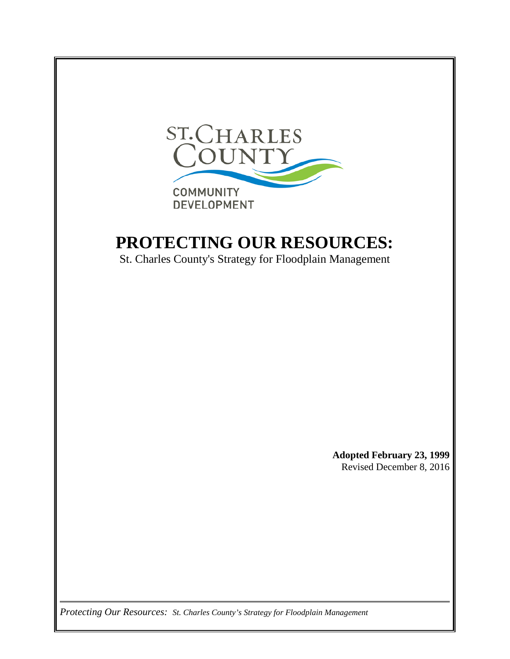

## **PROTECTING OUR RESOURCES:**

St. Charles County's Strategy for Floodplain Management

**Adopted February 23, 1999** Revised December 8, 2016

*Protecting Our Resources: St. Charles County's Strategy for Floodplain Management*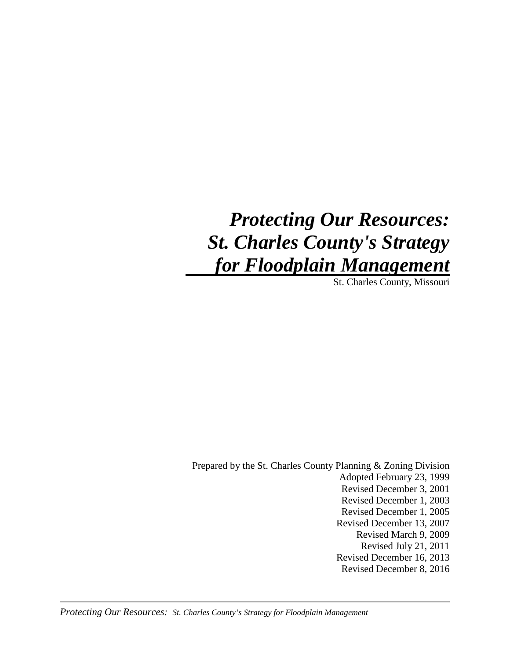# *Protecting Our Resources: St. Charles County's Strategy for Floodplain Management*

St. Charles County, Missouri

Prepared by the St. Charles County Planning & Zoning Division Adopted February 23, 1999 Revised December 3, 2001 Revised December 1, 2003 Revised December 1, 2005 Revised December 13, 2007 Revised March 9, 2009 Revised July 21, 2011 Revised December 16, 2013 Revised December 8, 2016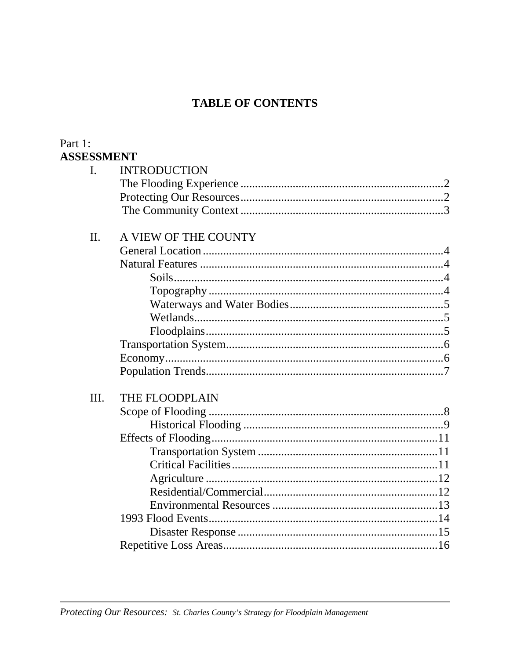### **TABLE OF CONTENTS**

#### Part 1: **ASSESSMENT**

| I.   | <b>INTRODUCTION</b>  |
|------|----------------------|
|      |                      |
|      |                      |
|      |                      |
|      |                      |
| II.  | A VIEW OF THE COUNTY |
|      |                      |
|      |                      |
|      |                      |
|      |                      |
|      |                      |
|      |                      |
|      |                      |
|      |                      |
|      |                      |
|      |                      |
| III. | THE FLOODPLAIN       |
|      |                      |
|      |                      |
|      |                      |
|      |                      |
|      |                      |
|      |                      |
|      |                      |
|      |                      |
|      |                      |
|      |                      |
|      |                      |
|      |                      |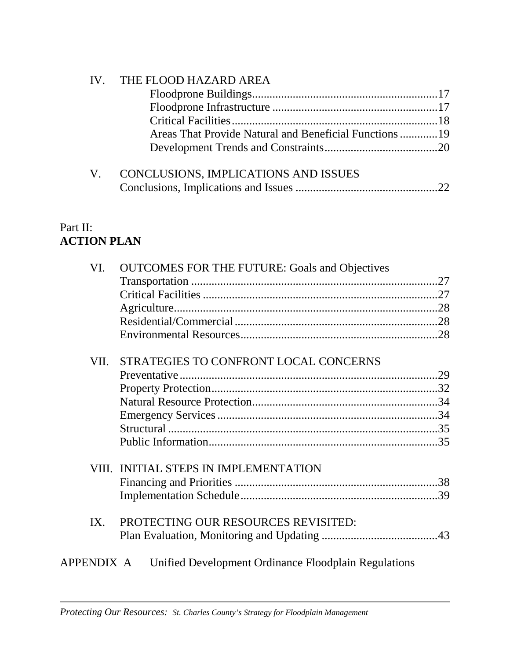| IV. THE FLOOD HAZARD AREA            |  |
|--------------------------------------|--|
|                                      |  |
|                                      |  |
|                                      |  |
|                                      |  |
|                                      |  |
| CONCLUSIONS, IMPLICATIONS AND ISSUES |  |
|                                      |  |

### Part II: **ACTION PLAN**

| VI.        | <b>OUTCOMES FOR THE FUTURE: Goals and Objectives</b>                                                                                        |  |
|------------|---------------------------------------------------------------------------------------------------------------------------------------------|--|
|            |                                                                                                                                             |  |
|            |                                                                                                                                             |  |
|            |                                                                                                                                             |  |
|            |                                                                                                                                             |  |
|            |                                                                                                                                             |  |
| VII.       | STRATEGIES TO CONFRONT LOCAL CONCERNS                                                                                                       |  |
|            |                                                                                                                                             |  |
|            | VIII. INITIAL STEPS IN IMPLEMENTATION<br>PROTECTING OUR RESOURCES REVISITED:<br>IX.<br>Unified Development Ordinance Floodplain Regulations |  |
|            |                                                                                                                                             |  |
|            |                                                                                                                                             |  |
|            |                                                                                                                                             |  |
|            |                                                                                                                                             |  |
|            |                                                                                                                                             |  |
|            |                                                                                                                                             |  |
|            |                                                                                                                                             |  |
|            |                                                                                                                                             |  |
|            |                                                                                                                                             |  |
|            |                                                                                                                                             |  |
| APPENDIX A |                                                                                                                                             |  |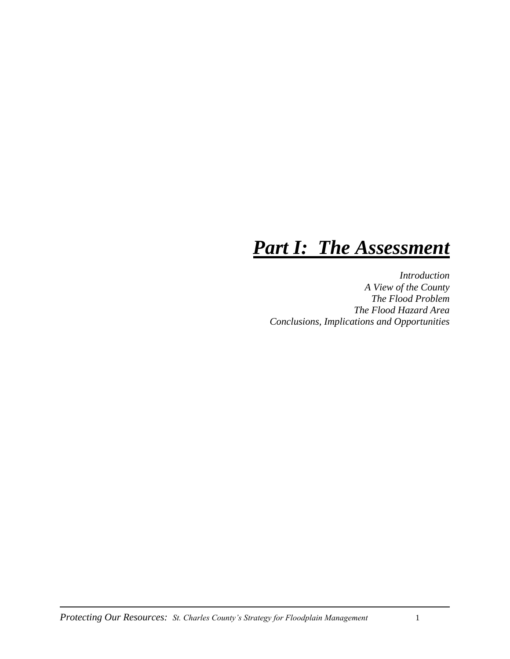## *Part I: The Assessment*

*Introduction A View of the County The Flood Problem The Flood Hazard Area Conclusions, Implications and Opportunities*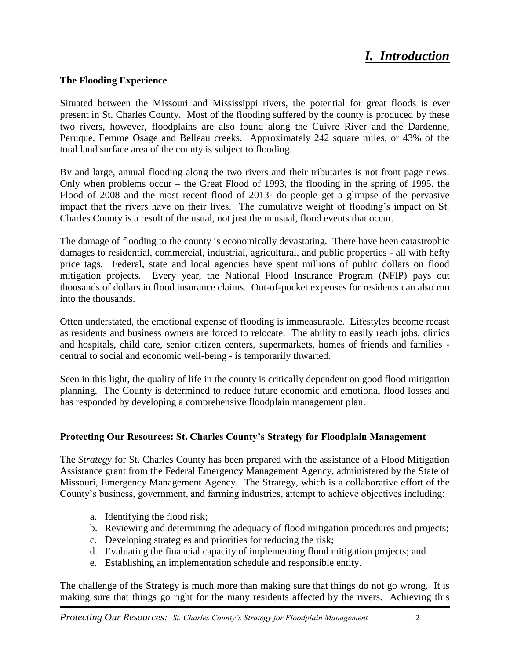## *I. Introduction*

#### **The Flooding Experience**

Situated between the Missouri and Mississippi rivers, the potential for great floods is ever present in St. Charles County. Most of the flooding suffered by the county is produced by these two rivers, however, floodplains are also found along the Cuivre River and the Dardenne, Peruque, Femme Osage and Belleau creeks. Approximately 242 square miles, or 43% of the total land surface area of the county is subject to flooding.

By and large, annual flooding along the two rivers and their tributaries is not front page news. Only when problems occur – the Great Flood of 1993, the flooding in the spring of 1995, the Flood of 2008 and the most recent flood of 2013- do people get a glimpse of the pervasive impact that the rivers have on their lives. The cumulative weight of flooding's impact on St. Charles County is a result of the usual, not just the unusual, flood events that occur.

The damage of flooding to the county is economically devastating. There have been catastrophic damages to residential, commercial, industrial, agricultural, and public properties - all with hefty price tags. Federal, state and local agencies have spent millions of public dollars on flood mitigation projects. Every year, the National Flood Insurance Program (NFIP) pays out thousands of dollars in flood insurance claims. Out-of-pocket expenses for residents can also run into the thousands.

Often understated, the emotional expense of flooding is immeasurable. Lifestyles become recast as residents and business owners are forced to relocate. The ability to easily reach jobs, clinics and hospitals, child care, senior citizen centers, supermarkets, homes of friends and families central to social and economic well-being - is temporarily thwarted.

Seen in this light, the quality of life in the county is critically dependent on good flood mitigation planning. The County is determined to reduce future economic and emotional flood losses and has responded by developing a comprehensive floodplain management plan.

#### **Protecting Our Resources: St. Charles County's Strategy for Floodplain Management**

The *Strategy* for St. Charles County has been prepared with the assistance of a Flood Mitigation Assistance grant from the Federal Emergency Management Agency, administered by the State of Missouri, Emergency Management Agency. The Strategy, which is a collaborative effort of the County's business, government, and farming industries, attempt to achieve objectives including:

- a. Identifying the flood risk;
- b. Reviewing and determining the adequacy of flood mitigation procedures and projects;
- c. Developing strategies and priorities for reducing the risk;
- d. Evaluating the financial capacity of implementing flood mitigation projects; and
- e. Establishing an implementation schedule and responsible entity.

The challenge of the Strategy is much more than making sure that things do not go wrong. It is making sure that things go right for the many residents affected by the rivers. Achieving this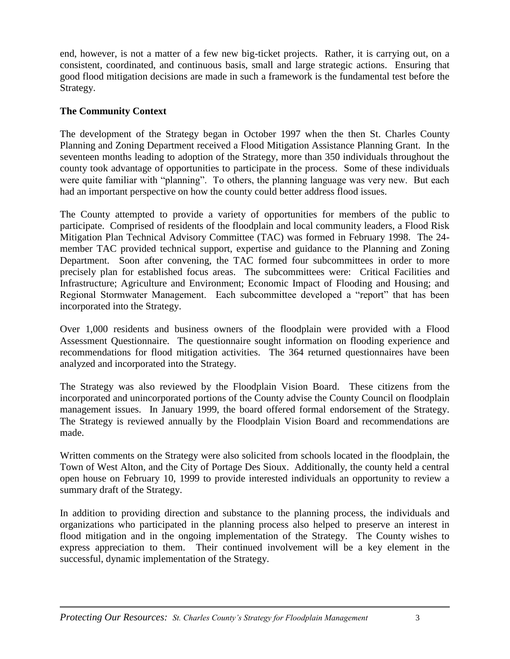end, however, is not a matter of a few new big-ticket projects. Rather, it is carrying out, on a consistent, coordinated, and continuous basis, small and large strategic actions. Ensuring that good flood mitigation decisions are made in such a framework is the fundamental test before the Strategy.

#### **The Community Context**

The development of the Strategy began in October 1997 when the then St. Charles County Planning and Zoning Department received a Flood Mitigation Assistance Planning Grant. In the seventeen months leading to adoption of the Strategy, more than 350 individuals throughout the county took advantage of opportunities to participate in the process. Some of these individuals were quite familiar with "planning". To others, the planning language was very new. But each had an important perspective on how the county could better address flood issues.

The County attempted to provide a variety of opportunities for members of the public to participate. Comprised of residents of the floodplain and local community leaders, a Flood Risk Mitigation Plan Technical Advisory Committee (TAC) was formed in February 1998. The 24 member TAC provided technical support, expertise and guidance to the Planning and Zoning Department. Soon after convening, the TAC formed four subcommittees in order to more precisely plan for established focus areas. The subcommittees were: Critical Facilities and Infrastructure; Agriculture and Environment; Economic Impact of Flooding and Housing; and Regional Stormwater Management. Each subcommittee developed a "report" that has been incorporated into the Strategy.

Over 1,000 residents and business owners of the floodplain were provided with a Flood Assessment Questionnaire. The questionnaire sought information on flooding experience and recommendations for flood mitigation activities. The 364 returned questionnaires have been analyzed and incorporated into the Strategy.

The Strategy was also reviewed by the Floodplain Vision Board. These citizens from the incorporated and unincorporated portions of the County advise the County Council on floodplain management issues. In January 1999, the board offered formal endorsement of the Strategy. The Strategy is reviewed annually by the Floodplain Vision Board and recommendations are made.

Written comments on the Strategy were also solicited from schools located in the floodplain, the Town of West Alton, and the City of Portage Des Sioux. Additionally, the county held a central open house on February 10, 1999 to provide interested individuals an opportunity to review a summary draft of the Strategy.

In addition to providing direction and substance to the planning process, the individuals and organizations who participated in the planning process also helped to preserve an interest in flood mitigation and in the ongoing implementation of the Strategy. The County wishes to express appreciation to them. Their continued involvement will be a key element in the successful, dynamic implementation of the Strategy.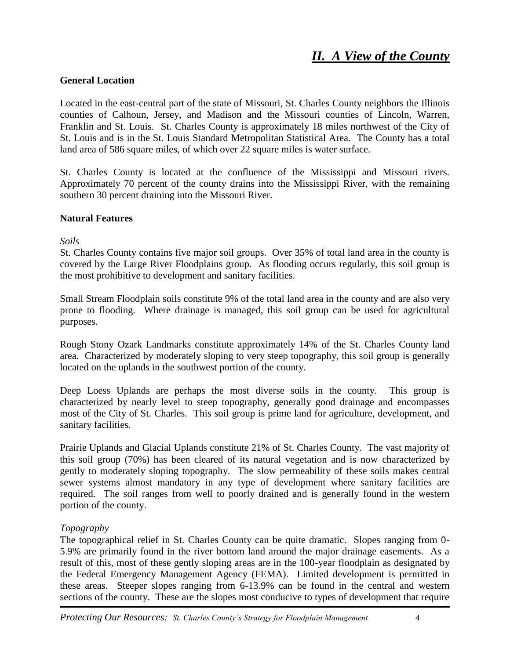#### **General Location**

Located in the east-central part of the state of Missouri, St. Charles County neighbors the Illinois counties of Calhoun, Jersey, and Madison and the Missouri counties of Lincoln, Warren, Franklin and St. Louis. St. Charles County is approximately 18 miles northwest of the City of St. Louis and is in the St. Louis Standard Metropolitan Statistical Area. The County has a total land area of 586 square miles, of which over 22 square miles is water surface.

St. Charles County is located at the confluence of the Mississippi and Missouri rivers. Approximately 70 percent of the county drains into the Mississippi River, with the remaining southern 30 percent draining into the Missouri River.

#### **Natural Features**

*Soils*

St. Charles County contains five major soil groups. Over 35% of total land area in the county is covered by the Large River Floodplains group. As flooding occurs regularly, this soil group is the most prohibitive to development and sanitary facilities.

Small Stream Floodplain soils constitute 9% of the total land area in the county and are also very prone to flooding. Where drainage is managed, this soil group can be used for agricultural purposes.

Rough Stony Ozark Landmarks constitute approximately 14% of the St. Charles County land area. Characterized by moderately sloping to very steep topography, this soil group is generally located on the uplands in the southwest portion of the county.

Deep Loess Uplands are perhaps the most diverse soils in the county. This group is characterized by nearly level to steep topography, generally good drainage and encompasses most of the City of St. Charles. This soil group is prime land for agriculture, development, and sanitary facilities.

Prairie Uplands and Glacial Uplands constitute 21% of St. Charles County. The vast majority of this soil group (70%) has been cleared of its natural vegetation and is now characterized by gently to moderately sloping topography. The slow permeability of these soils makes central sewer systems almost mandatory in any type of development where sanitary facilities are required. The soil ranges from well to poorly drained and is generally found in the western portion of the county.

#### *Topography*

The topographical relief in St. Charles County can be quite dramatic. Slopes ranging from 0- 5.9% are primarily found in the river bottom land around the major drainage easements. As a result of this, most of these gently sloping areas are in the 100-year floodplain as designated by the Federal Emergency Management Agency (FEMA). Limited development is permitted in these areas. Steeper slopes ranging from 6-13.9% can be found in the central and western sections of the county. These are the slopes most conducive to types of development that require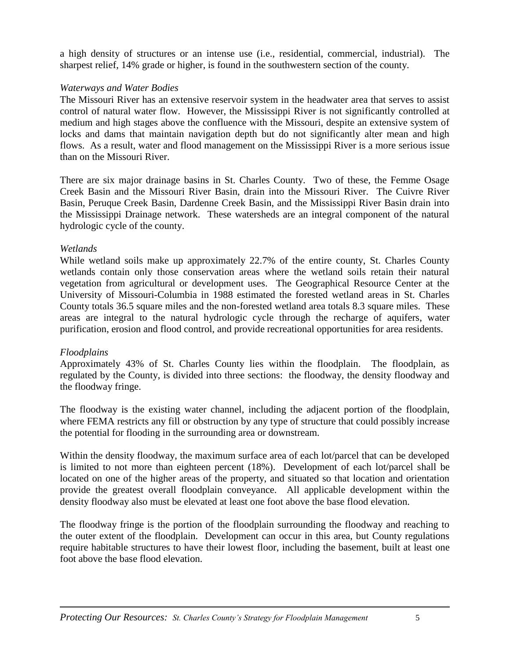a high density of structures or an intense use (i.e., residential, commercial, industrial). The sharpest relief, 14% grade or higher, is found in the southwestern section of the county.

#### *Waterways and Water Bodies*

The Missouri River has an extensive reservoir system in the headwater area that serves to assist control of natural water flow. However, the Mississippi River is not significantly controlled at medium and high stages above the confluence with the Missouri, despite an extensive system of locks and dams that maintain navigation depth but do not significantly alter mean and high flows. As a result, water and flood management on the Mississippi River is a more serious issue than on the Missouri River.

There are six major drainage basins in St. Charles County. Two of these, the Femme Osage Creek Basin and the Missouri River Basin, drain into the Missouri River. The Cuivre River Basin, Peruque Creek Basin, Dardenne Creek Basin, and the Mississippi River Basin drain into the Mississippi Drainage network. These watersheds are an integral component of the natural hydrologic cycle of the county.

#### *Wetlands*

While wetland soils make up approximately 22.7% of the entire county, St. Charles County wetlands contain only those conservation areas where the wetland soils retain their natural vegetation from agricultural or development uses. The Geographical Resource Center at the University of Missouri-Columbia in 1988 estimated the forested wetland areas in St. Charles County totals 36.5 square miles and the non-forested wetland area totals 8.3 square miles. These areas are integral to the natural hydrologic cycle through the recharge of aquifers, water purification, erosion and flood control, and provide recreational opportunities for area residents.

#### *Floodplains*

Approximately 43% of St. Charles County lies within the floodplain. The floodplain, as regulated by the County, is divided into three sections: the floodway, the density floodway and the floodway fringe.

The floodway is the existing water channel, including the adjacent portion of the floodplain, where FEMA restricts any fill or obstruction by any type of structure that could possibly increase the potential for flooding in the surrounding area or downstream.

Within the density floodway, the maximum surface area of each lot/parcel that can be developed is limited to not more than eighteen percent (18%). Development of each lot/parcel shall be located on one of the higher areas of the property, and situated so that location and orientation provide the greatest overall floodplain conveyance. All applicable development within the density floodway also must be elevated at least one foot above the base flood elevation.

The floodway fringe is the portion of the floodplain surrounding the floodway and reaching to the outer extent of the floodplain. Development can occur in this area, but County regulations require habitable structures to have their lowest floor, including the basement, built at least one foot above the base flood elevation.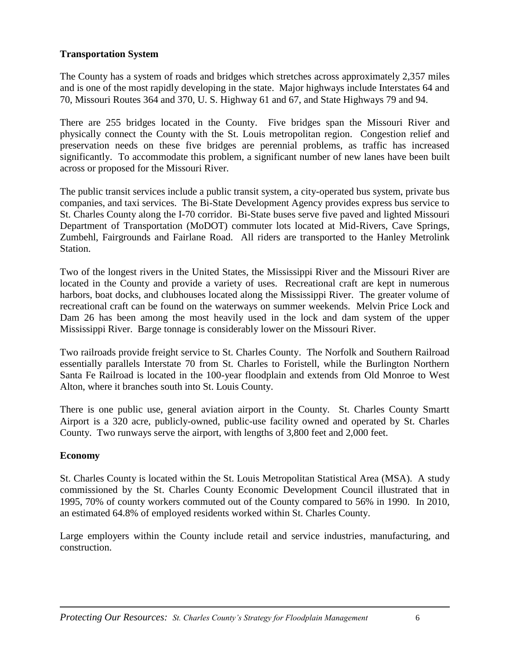#### **Transportation System**

The County has a system of roads and bridges which stretches across approximately 2,357 miles and is one of the most rapidly developing in the state. Major highways include Interstates 64 and 70, Missouri Routes 364 and 370, U. S. Highway 61 and 67, and State Highways 79 and 94.

There are 255 bridges located in the County. Five bridges span the Missouri River and physically connect the County with the St. Louis metropolitan region. Congestion relief and preservation needs on these five bridges are perennial problems, as traffic has increased significantly. To accommodate this problem, a significant number of new lanes have been built across or proposed for the Missouri River.

The public transit services include a public transit system, a city-operated bus system, private bus companies, and taxi services. The Bi-State Development Agency provides express bus service to St. Charles County along the I-70 corridor. Bi-State buses serve five paved and lighted Missouri Department of Transportation (MoDOT) commuter lots located at Mid-Rivers, Cave Springs, Zumbehl, Fairgrounds and Fairlane Road. All riders are transported to the Hanley Metrolink Station.

Two of the longest rivers in the United States, the Mississippi River and the Missouri River are located in the County and provide a variety of uses. Recreational craft are kept in numerous harbors, boat docks, and clubhouses located along the Mississippi River. The greater volume of recreational craft can be found on the waterways on summer weekends. Melvin Price Lock and Dam 26 has been among the most heavily used in the lock and dam system of the upper Mississippi River. Barge tonnage is considerably lower on the Missouri River.

Two railroads provide freight service to St. Charles County. The Norfolk and Southern Railroad essentially parallels Interstate 70 from St. Charles to Foristell, while the Burlington Northern Santa Fe Railroad is located in the 100-year floodplain and extends from Old Monroe to West Alton, where it branches south into St. Louis County.

There is one public use, general aviation airport in the County. St. Charles County Smartt Airport is a 320 acre, publicly-owned, public-use facility owned and operated by St. Charles County. Two runways serve the airport, with lengths of 3,800 feet and 2,000 feet.

#### **Economy**

St. Charles County is located within the St. Louis Metropolitan Statistical Area (MSA). A study commissioned by the St. Charles County Economic Development Council illustrated that in 1995, 70% of county workers commuted out of the County compared to 56% in 1990. In 2010, an estimated 64.8% of employed residents worked within St. Charles County.

Large employers within the County include retail and service industries, manufacturing, and construction.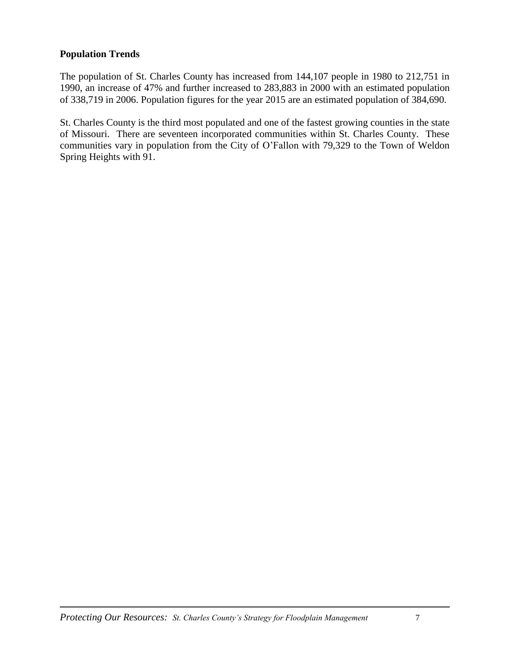#### **Population Trends**

The population of St. Charles County has increased from 144,107 people in 1980 to 212,751 in 1990, an increase of 47% and further increased to 283,883 in 2000 with an estimated population of 338,719 in 2006. Population figures for the year 2015 are an estimated population of 384,690.

St. Charles County is the third most populated and one of the fastest growing counties in the state of Missouri. There are seventeen incorporated communities within St. Charles County. These communities vary in population from the City of O'Fallon with 79,329 to the Town of Weldon Spring Heights with 91.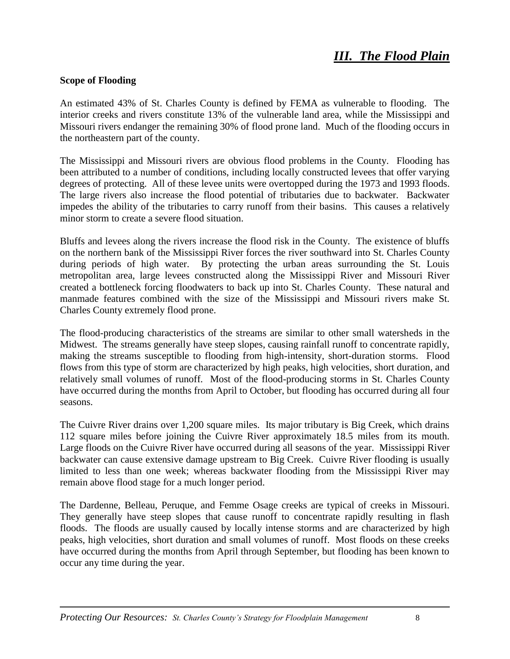## *III. The Flood Plain*

#### **Scope of Flooding**

An estimated 43% of St. Charles County is defined by FEMA as vulnerable to flooding. The interior creeks and rivers constitute 13% of the vulnerable land area, while the Mississippi and Missouri rivers endanger the remaining 30% of flood prone land. Much of the flooding occurs in the northeastern part of the county.

The Mississippi and Missouri rivers are obvious flood problems in the County. Flooding has been attributed to a number of conditions, including locally constructed levees that offer varying degrees of protecting. All of these levee units were overtopped during the 1973 and 1993 floods. The large rivers also increase the flood potential of tributaries due to backwater. Backwater impedes the ability of the tributaries to carry runoff from their basins. This causes a relatively minor storm to create a severe flood situation.

Bluffs and levees along the rivers increase the flood risk in the County. The existence of bluffs on the northern bank of the Mississippi River forces the river southward into St. Charles County during periods of high water. By protecting the urban areas surrounding the St. Louis metropolitan area, large levees constructed along the Mississippi River and Missouri River created a bottleneck forcing floodwaters to back up into St. Charles County. These natural and manmade features combined with the size of the Mississippi and Missouri rivers make St. Charles County extremely flood prone.

The flood-producing characteristics of the streams are similar to other small watersheds in the Midwest. The streams generally have steep slopes, causing rainfall runoff to concentrate rapidly, making the streams susceptible to flooding from high-intensity, short-duration storms. Flood flows from this type of storm are characterized by high peaks, high velocities, short duration, and relatively small volumes of runoff. Most of the flood-producing storms in St. Charles County have occurred during the months from April to October, but flooding has occurred during all four seasons.

The Cuivre River drains over 1,200 square miles. Its major tributary is Big Creek, which drains 112 square miles before joining the Cuivre River approximately 18.5 miles from its mouth. Large floods on the Cuivre River have occurred during all seasons of the year. Mississippi River backwater can cause extensive damage upstream to Big Creek. Cuivre River flooding is usually limited to less than one week; whereas backwater flooding from the Mississippi River may remain above flood stage for a much longer period.

The Dardenne, Belleau, Peruque, and Femme Osage creeks are typical of creeks in Missouri. They generally have steep slopes that cause runoff to concentrate rapidly resulting in flash floods. The floods are usually caused by locally intense storms and are characterized by high peaks, high velocities, short duration and small volumes of runoff. Most floods on these creeks have occurred during the months from April through September, but flooding has been known to occur any time during the year.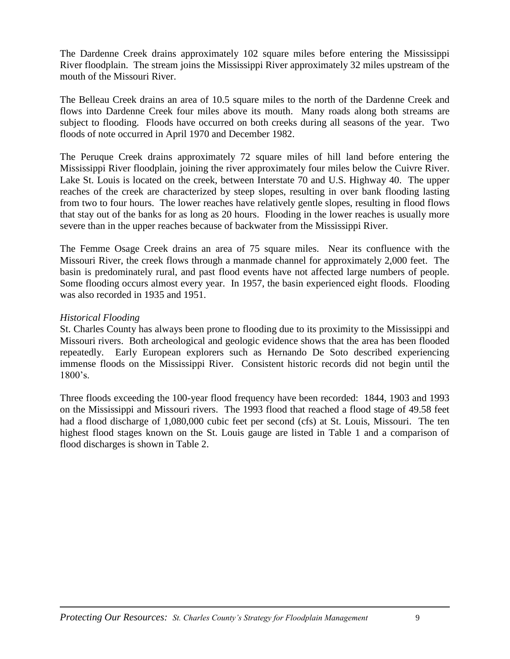The Dardenne Creek drains approximately 102 square miles before entering the Mississippi River floodplain. The stream joins the Mississippi River approximately 32 miles upstream of the mouth of the Missouri River.

The Belleau Creek drains an area of 10.5 square miles to the north of the Dardenne Creek and flows into Dardenne Creek four miles above its mouth. Many roads along both streams are subject to flooding. Floods have occurred on both creeks during all seasons of the year. Two floods of note occurred in April 1970 and December 1982.

The Peruque Creek drains approximately 72 square miles of hill land before entering the Mississippi River floodplain, joining the river approximately four miles below the Cuivre River. Lake St. Louis is located on the creek, between Interstate 70 and U.S. Highway 40. The upper reaches of the creek are characterized by steep slopes, resulting in over bank flooding lasting from two to four hours. The lower reaches have relatively gentle slopes, resulting in flood flows that stay out of the banks for as long as 20 hours. Flooding in the lower reaches is usually more severe than in the upper reaches because of backwater from the Mississippi River.

The Femme Osage Creek drains an area of 75 square miles. Near its confluence with the Missouri River, the creek flows through a manmade channel for approximately 2,000 feet. The basin is predominately rural, and past flood events have not affected large numbers of people. Some flooding occurs almost every year. In 1957, the basin experienced eight floods. Flooding was also recorded in 1935 and 1951.

#### *Historical Flooding*

St. Charles County has always been prone to flooding due to its proximity to the Mississippi and Missouri rivers. Both archeological and geologic evidence shows that the area has been flooded repeatedly. Early European explorers such as Hernando De Soto described experiencing immense floods on the Mississippi River. Consistent historic records did not begin until the 1800's.

Three floods exceeding the 100-year flood frequency have been recorded: 1844, 1903 and 1993 on the Mississippi and Missouri rivers. The 1993 flood that reached a flood stage of 49.58 feet had a flood discharge of 1,080,000 cubic feet per second (cfs) at St. Louis, Missouri. The ten highest flood stages known on the St. Louis gauge are listed in Table 1 and a comparison of flood discharges is shown in Table 2.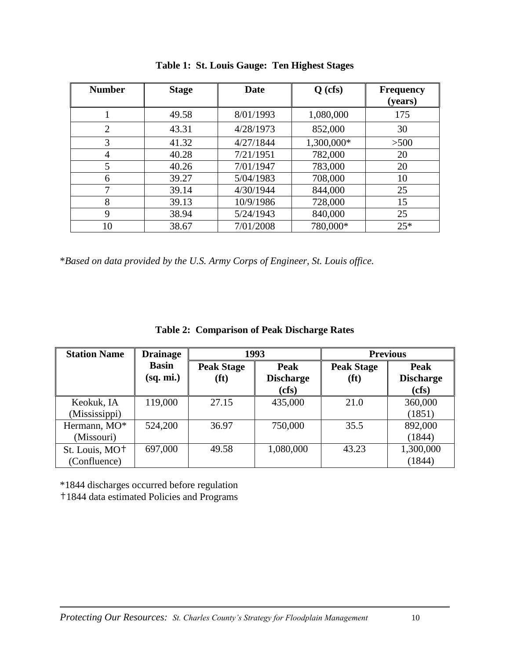| <b>Number</b>  | <b>Stage</b> | Date      | $Q$ (cfs)  | <b>Frequency</b><br>(years) |
|----------------|--------------|-----------|------------|-----------------------------|
|                | 49.58        | 8/01/1993 | 1,080,000  | 175                         |
| $\overline{2}$ | 43.31        | 4/28/1973 | 852,000    | 30                          |
| 3              | 41.32        | 4/27/1844 | 1,300,000* | >500                        |
| 4              | 40.28        | 7/21/1951 | 782,000    | 20                          |
| 5              | 40.26        | 7/01/1947 | 783,000    | 20                          |
| 6              | 39.27        | 5/04/1983 | 708,000    | 10                          |
|                | 39.14        | 4/30/1944 | 844,000    | 25                          |
| 8              | 39.13        | 10/9/1986 | 728,000    | 15                          |
| 9              | 38.94        | 5/24/1943 | 840,000    | 25                          |
| 10             | 38.67        | 7/01/2008 | 780,000*   | $25*$                       |

**Table 1: St. Louis Gauge: Ten Highest Stages**

\**Based on data provided by the U.S. Army Corps of Engineer, St. Louis office.*

|  |  |  | <b>Table 2: Comparison of Peak Discharge Rates</b> |
|--|--|--|----------------------------------------------------|
|--|--|--|----------------------------------------------------|

| <b>Station Name</b>                        | <b>Drainage</b>           | 1993                                   |                                          |                                        | <b>Previous</b>                          |
|--------------------------------------------|---------------------------|----------------------------------------|------------------------------------------|----------------------------------------|------------------------------------------|
|                                            | <b>Basin</b><br>(sq. mi.) | <b>Peak Stage</b><br>(f <sup>t</sup> ) | <b>Peak</b><br><b>Discharge</b><br>(cfs) | <b>Peak Stage</b><br>(f <sup>t</sup> ) | <b>Peak</b><br><b>Discharge</b><br>(cfs) |
| Keokuk, IA<br>(Mississippi)                | 119,000                   | 27.15                                  | 435,000                                  | 21.0                                   | 360,000<br>(1851)                        |
| Hermann, MO*<br>(Missouri)                 | 524,200                   | 36.97                                  | 750,000                                  | 35.5                                   | 892,000<br>(1844)                        |
| St. Louis, MO <sup>+</sup><br>(Confluence) | 697,000                   | 49.58                                  | 1,080,000                                | 43.23                                  | 1,300,000<br>(1844)                      |

\*1844 discharges occurred before regulation

†1844 data estimated Policies and Programs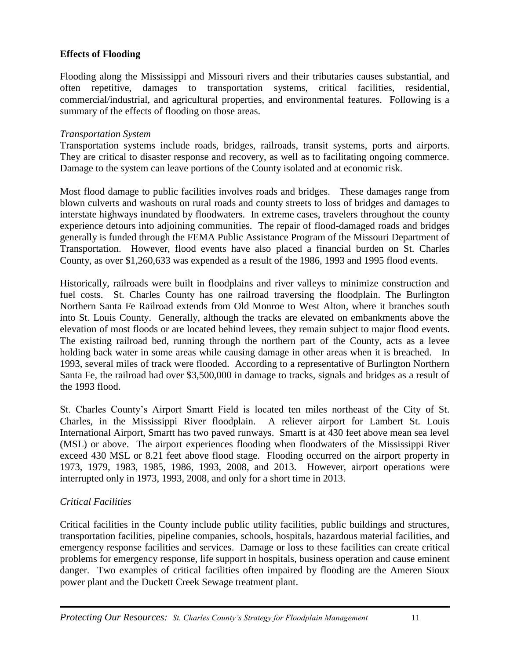#### **Effects of Flooding**

Flooding along the Mississippi and Missouri rivers and their tributaries causes substantial, and often repetitive, damages to transportation systems, critical facilities, residential, commercial/industrial, and agricultural properties, and environmental features. Following is a summary of the effects of flooding on those areas.

#### *Transportation System*

Transportation systems include roads, bridges, railroads, transit systems, ports and airports. They are critical to disaster response and recovery, as well as to facilitating ongoing commerce. Damage to the system can leave portions of the County isolated and at economic risk.

Most flood damage to public facilities involves roads and bridges. These damages range from blown culverts and washouts on rural roads and county streets to loss of bridges and damages to interstate highways inundated by floodwaters. In extreme cases, travelers throughout the county experience detours into adjoining communities. The repair of flood-damaged roads and bridges generally is funded through the FEMA Public Assistance Program of the Missouri Department of Transportation. However, flood events have also placed a financial burden on St. Charles County, as over \$1,260,633 was expended as a result of the 1986, 1993 and 1995 flood events.

Historically, railroads were built in floodplains and river valleys to minimize construction and fuel costs. St. Charles County has one railroad traversing the floodplain. The Burlington Northern Santa Fe Railroad extends from Old Monroe to West Alton, where it branches south into St. Louis County. Generally, although the tracks are elevated on embankments above the elevation of most floods or are located behind levees, they remain subject to major flood events. The existing railroad bed, running through the northern part of the County, acts as a levee holding back water in some areas while causing damage in other areas when it is breached. In 1993, several miles of track were flooded. According to a representative of Burlington Northern Santa Fe, the railroad had over \$3,500,000 in damage to tracks, signals and bridges as a result of the 1993 flood.

St. Charles County's Airport Smartt Field is located ten miles northeast of the City of St. Charles, in the Mississippi River floodplain. A reliever airport for Lambert St. Louis International Airport, Smartt has two paved runways. Smartt is at 430 feet above mean sea level (MSL) or above. The airport experiences flooding when floodwaters of the Mississippi River exceed 430 MSL or 8.21 feet above flood stage. Flooding occurred on the airport property in 1973, 1979, 1983, 1985, 1986, 1993, 2008, and 2013. However, airport operations were interrupted only in 1973, 1993, 2008, and only for a short time in 2013.

#### *Critical Facilities*

Critical facilities in the County include public utility facilities, public buildings and structures, transportation facilities, pipeline companies, schools, hospitals, hazardous material facilities, and emergency response facilities and services. Damage or loss to these facilities can create critical problems for emergency response, life support in hospitals, business operation and cause eminent danger. Two examples of critical facilities often impaired by flooding are the Ameren Sioux power plant and the Duckett Creek Sewage treatment plant.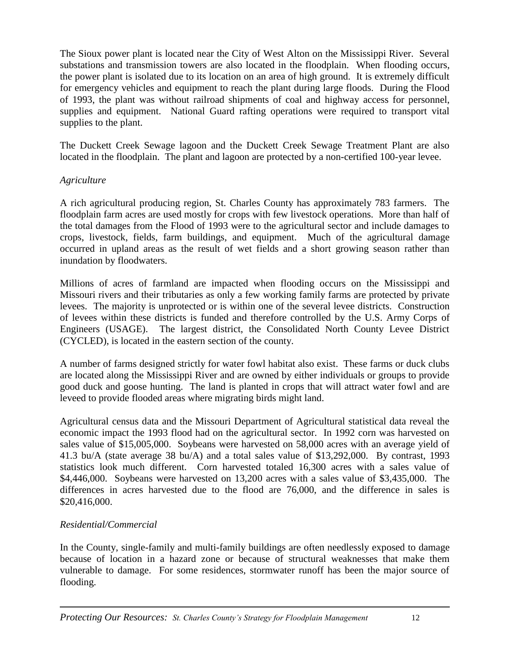The Sioux power plant is located near the City of West Alton on the Mississippi River. Several substations and transmission towers are also located in the floodplain. When flooding occurs, the power plant is isolated due to its location on an area of high ground. It is extremely difficult for emergency vehicles and equipment to reach the plant during large floods. During the Flood of 1993, the plant was without railroad shipments of coal and highway access for personnel, supplies and equipment. National Guard rafting operations were required to transport vital supplies to the plant.

The Duckett Creek Sewage lagoon and the Duckett Creek Sewage Treatment Plant are also located in the floodplain. The plant and lagoon are protected by a non-certified 100-year levee.

#### *Agriculture*

A rich agricultural producing region, St. Charles County has approximately 783 farmers. The floodplain farm acres are used mostly for crops with few livestock operations. More than half of the total damages from the Flood of 1993 were to the agricultural sector and include damages to crops, livestock, fields, farm buildings, and equipment. Much of the agricultural damage occurred in upland areas as the result of wet fields and a short growing season rather than inundation by floodwaters.

Millions of acres of farmland are impacted when flooding occurs on the Mississippi and Missouri rivers and their tributaries as only a few working family farms are protected by private levees. The majority is unprotected or is within one of the several levee districts. Construction of levees within these districts is funded and therefore controlled by the U.S. Army Corps of Engineers (USAGE). The largest district, the Consolidated North County Levee District (CYCLED), is located in the eastern section of the county.

A number of farms designed strictly for water fowl habitat also exist. These farms or duck clubs are located along the Mississippi River and are owned by either individuals or groups to provide good duck and goose hunting. The land is planted in crops that will attract water fowl and are leveed to provide flooded areas where migrating birds might land.

Agricultural census data and the Missouri Department of Agricultural statistical data reveal the economic impact the 1993 flood had on the agricultural sector. In 1992 corn was harvested on sales value of \$15,005,000. Soybeans were harvested on 58,000 acres with an average yield of 41.3 bu/A (state average 38 bu/A) and a total sales value of \$13,292,000. By contrast, 1993 statistics look much different. Corn harvested totaled 16,300 acres with a sales value of \$4,446,000. Soybeans were harvested on 13,200 acres with a sales value of \$3,435,000. The differences in acres harvested due to the flood are 76,000, and the difference in sales is \$20,416,000.

#### *Residential/Commercial*

In the County, single-family and multi-family buildings are often needlessly exposed to damage because of location in a hazard zone or because of structural weaknesses that make them vulnerable to damage. For some residences, stormwater runoff has been the major source of flooding.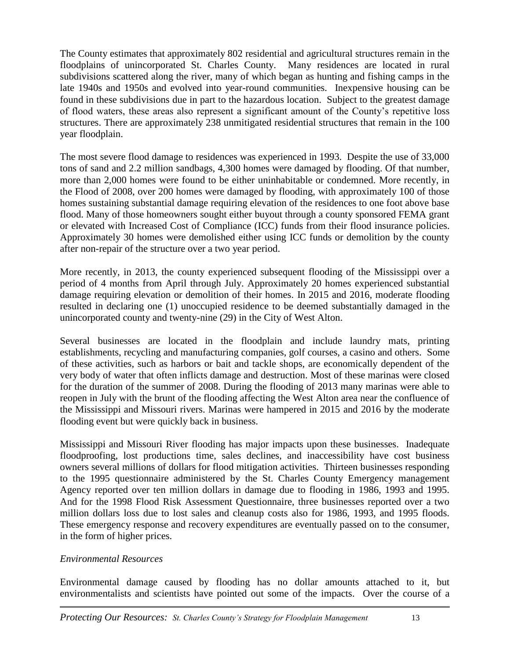The County estimates that approximately 802 residential and agricultural structures remain in the floodplains of unincorporated St. Charles County. Many residences are located in rural subdivisions scattered along the river, many of which began as hunting and fishing camps in the late 1940s and 1950s and evolved into year-round communities. Inexpensive housing can be found in these subdivisions due in part to the hazardous location. Subject to the greatest damage of flood waters, these areas also represent a significant amount of the County's repetitive loss structures. There are approximately 238 unmitigated residential structures that remain in the 100 year floodplain.

The most severe flood damage to residences was experienced in 1993. Despite the use of 33,000 tons of sand and 2.2 million sandbags, 4,300 homes were damaged by flooding. Of that number, more than 2,000 homes were found to be either uninhabitable or condemned. More recently, in the Flood of 2008, over 200 homes were damaged by flooding, with approximately 100 of those homes sustaining substantial damage requiring elevation of the residences to one foot above base flood. Many of those homeowners sought either buyout through a county sponsored FEMA grant or elevated with Increased Cost of Compliance (ICC) funds from their flood insurance policies. Approximately 30 homes were demolished either using ICC funds or demolition by the county after non-repair of the structure over a two year period.

More recently, in 2013, the county experienced subsequent flooding of the Mississippi over a period of 4 months from April through July. Approximately 20 homes experienced substantial damage requiring elevation or demolition of their homes. In 2015 and 2016, moderate flooding resulted in declaring one (1) unoccupied residence to be deemed substantially damaged in the unincorporated county and twenty-nine (29) in the City of West Alton.

Several businesses are located in the floodplain and include laundry mats, printing establishments, recycling and manufacturing companies, golf courses, a casino and others. Some of these activities, such as harbors or bait and tackle shops, are economically dependent of the very body of water that often inflicts damage and destruction. Most of these marinas were closed for the duration of the summer of 2008. During the flooding of 2013 many marinas were able to reopen in July with the brunt of the flooding affecting the West Alton area near the confluence of the Mississippi and Missouri rivers. Marinas were hampered in 2015 and 2016 by the moderate flooding event but were quickly back in business.

Mississippi and Missouri River flooding has major impacts upon these businesses. Inadequate floodproofing, lost productions time, sales declines, and inaccessibility have cost business owners several millions of dollars for flood mitigation activities. Thirteen businesses responding to the 1995 questionnaire administered by the St. Charles County Emergency management Agency reported over ten million dollars in damage due to flooding in 1986, 1993 and 1995. And for the 1998 Flood Risk Assessment Questionnaire, three businesses reported over a two million dollars loss due to lost sales and cleanup costs also for 1986, 1993, and 1995 floods. These emergency response and recovery expenditures are eventually passed on to the consumer, in the form of higher prices.

#### *Environmental Resources*

Environmental damage caused by flooding has no dollar amounts attached to it, but environmentalists and scientists have pointed out some of the impacts. Over the course of a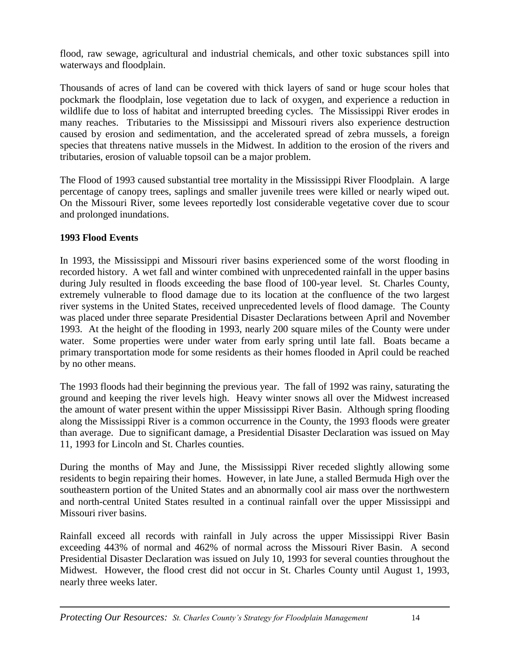flood, raw sewage, agricultural and industrial chemicals, and other toxic substances spill into waterways and floodplain.

Thousands of acres of land can be covered with thick layers of sand or huge scour holes that pockmark the floodplain, lose vegetation due to lack of oxygen, and experience a reduction in wildlife due to loss of habitat and interrupted breeding cycles. The Mississippi River erodes in many reaches. Tributaries to the Mississippi and Missouri rivers also experience destruction caused by erosion and sedimentation, and the accelerated spread of zebra mussels, a foreign species that threatens native mussels in the Midwest. In addition to the erosion of the rivers and tributaries, erosion of valuable topsoil can be a major problem.

The Flood of 1993 caused substantial tree mortality in the Mississippi River Floodplain. A large percentage of canopy trees, saplings and smaller juvenile trees were killed or nearly wiped out. On the Missouri River, some levees reportedly lost considerable vegetative cover due to scour and prolonged inundations.

#### **1993 Flood Events**

In 1993, the Mississippi and Missouri river basins experienced some of the worst flooding in recorded history. A wet fall and winter combined with unprecedented rainfall in the upper basins during July resulted in floods exceeding the base flood of 100-year level. St. Charles County, extremely vulnerable to flood damage due to its location at the confluence of the two largest river systems in the United States, received unprecedented levels of flood damage. The County was placed under three separate Presidential Disaster Declarations between April and November 1993. At the height of the flooding in 1993, nearly 200 square miles of the County were under water. Some properties were under water from early spring until late fall. Boats became a primary transportation mode for some residents as their homes flooded in April could be reached by no other means.

The 1993 floods had their beginning the previous year. The fall of 1992 was rainy, saturating the ground and keeping the river levels high. Heavy winter snows all over the Midwest increased the amount of water present within the upper Mississippi River Basin. Although spring flooding along the Mississippi River is a common occurrence in the County, the 1993 floods were greater than average. Due to significant damage, a Presidential Disaster Declaration was issued on May 11, 1993 for Lincoln and St. Charles counties.

During the months of May and June, the Mississippi River receded slightly allowing some residents to begin repairing their homes. However, in late June, a stalled Bermuda High over the southeastern portion of the United States and an abnormally cool air mass over the northwestern and north-central United States resulted in a continual rainfall over the upper Mississippi and Missouri river basins.

Rainfall exceed all records with rainfall in July across the upper Mississippi River Basin exceeding 443% of normal and 462% of normal across the Missouri River Basin. A second Presidential Disaster Declaration was issued on July 10, 1993 for several counties throughout the Midwest. However, the flood crest did not occur in St. Charles County until August 1, 1993, nearly three weeks later.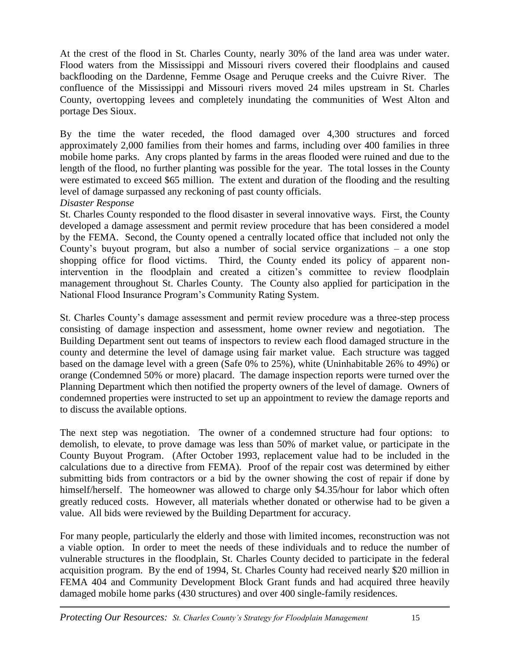At the crest of the flood in St. Charles County, nearly 30% of the land area was under water. Flood waters from the Mississippi and Missouri rivers covered their floodplains and caused backflooding on the Dardenne, Femme Osage and Peruque creeks and the Cuivre River. The confluence of the Mississippi and Missouri rivers moved 24 miles upstream in St. Charles County, overtopping levees and completely inundating the communities of West Alton and portage Des Sioux.

By the time the water receded, the flood damaged over 4,300 structures and forced approximately 2,000 families from their homes and farms, including over 400 families in three mobile home parks. Any crops planted by farms in the areas flooded were ruined and due to the length of the flood, no further planting was possible for the year. The total losses in the County were estimated to exceed \$65 million. The extent and duration of the flooding and the resulting level of damage surpassed any reckoning of past county officials.

#### *Disaster Response*

St. Charles County responded to the flood disaster in several innovative ways. First, the County developed a damage assessment and permit review procedure that has been considered a model by the FEMA. Second, the County opened a centrally located office that included not only the County's buyout program, but also a number of social service organizations – a one stop shopping office for flood victims. Third, the County ended its policy of apparent nonintervention in the floodplain and created a citizen's committee to review floodplain management throughout St. Charles County. The County also applied for participation in the National Flood Insurance Program's Community Rating System.

St. Charles County's damage assessment and permit review procedure was a three-step process consisting of damage inspection and assessment, home owner review and negotiation. The Building Department sent out teams of inspectors to review each flood damaged structure in the county and determine the level of damage using fair market value. Each structure was tagged based on the damage level with a green (Safe 0% to 25%), white (Uninhabitable 26% to 49%) or orange (Condemned 50% or more) placard. The damage inspection reports were turned over the Planning Department which then notified the property owners of the level of damage. Owners of condemned properties were instructed to set up an appointment to review the damage reports and to discuss the available options.

The next step was negotiation. The owner of a condemned structure had four options: to demolish, to elevate, to prove damage was less than 50% of market value, or participate in the County Buyout Program. (After October 1993, replacement value had to be included in the calculations due to a directive from FEMA). Proof of the repair cost was determined by either submitting bids from contractors or a bid by the owner showing the cost of repair if done by himself/herself. The homeowner was allowed to charge only \$4.35/hour for labor which often greatly reduced costs. However, all materials whether donated or otherwise had to be given a value. All bids were reviewed by the Building Department for accuracy.

For many people, particularly the elderly and those with limited incomes, reconstruction was not a viable option. In order to meet the needs of these individuals and to reduce the number of vulnerable structures in the floodplain, St. Charles County decided to participate in the federal acquisition program. By the end of 1994, St. Charles County had received nearly \$20 million in FEMA 404 and Community Development Block Grant funds and had acquired three heavily damaged mobile home parks (430 structures) and over 400 single-family residences.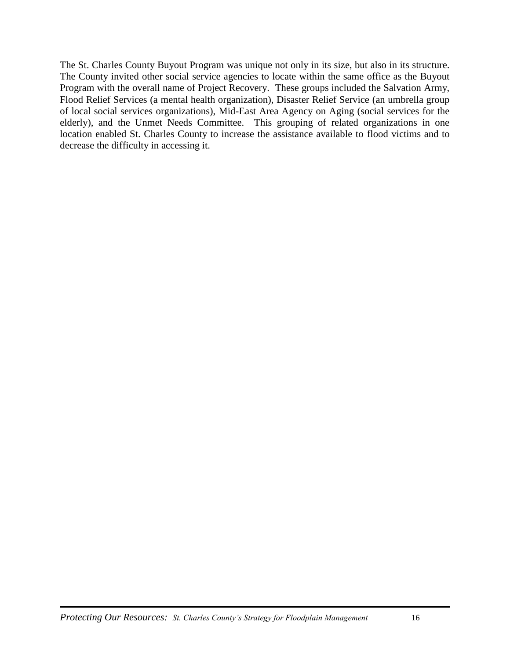The St. Charles County Buyout Program was unique not only in its size, but also in its structure. The County invited other social service agencies to locate within the same office as the Buyout Program with the overall name of Project Recovery. These groups included the Salvation Army, Flood Relief Services (a mental health organization), Disaster Relief Service (an umbrella group of local social services organizations), Mid-East Area Agency on Aging (social services for the elderly), and the Unmet Needs Committee. This grouping of related organizations in one location enabled St. Charles County to increase the assistance available to flood victims and to decrease the difficulty in accessing it.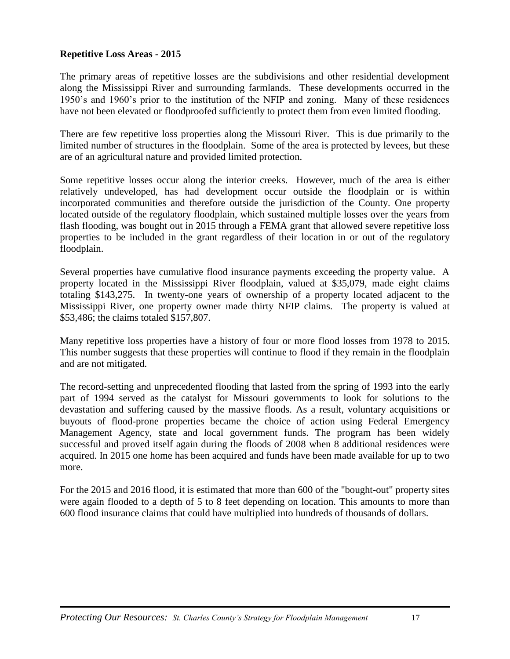#### **Repetitive Loss Areas - 2015**

The primary areas of repetitive losses are the subdivisions and other residential development along the Mississippi River and surrounding farmlands. These developments occurred in the 1950's and 1960's prior to the institution of the NFIP and zoning. Many of these residences have not been elevated or floodproofed sufficiently to protect them from even limited flooding.

There are few repetitive loss properties along the Missouri River. This is due primarily to the limited number of structures in the floodplain. Some of the area is protected by levees, but these are of an agricultural nature and provided limited protection.

Some repetitive losses occur along the interior creeks. However, much of the area is either relatively undeveloped, has had development occur outside the floodplain or is within incorporated communities and therefore outside the jurisdiction of the County. One property located outside of the regulatory floodplain, which sustained multiple losses over the years from flash flooding, was bought out in 2015 through a FEMA grant that allowed severe repetitive loss properties to be included in the grant regardless of their location in or out of the regulatory floodplain.

Several properties have cumulative flood insurance payments exceeding the property value. A property located in the Mississippi River floodplain, valued at \$35,079, made eight claims totaling \$143,275. In twenty-one years of ownership of a property located adjacent to the Mississippi River, one property owner made thirty NFIP claims. The property is valued at \$53,486; the claims totaled \$157,807.

Many repetitive loss properties have a history of four or more flood losses from 1978 to 2015. This number suggests that these properties will continue to flood if they remain in the floodplain and are not mitigated.

The record-setting and unprecedented flooding that lasted from the spring of 1993 into the early part of 1994 served as the catalyst for Missouri governments to look for solutions to the devastation and suffering caused by the massive floods. As a result, voluntary acquisitions or buyouts of flood-prone properties became the choice of action using Federal Emergency Management Agency, state and local government funds. The program has been widely successful and proved itself again during the floods of 2008 when 8 additional residences were acquired. In 2015 one home has been acquired and funds have been made available for up to two more.

For the 2015 and 2016 flood, it is estimated that more than 600 of the "bought-out" property sites were again flooded to a depth of 5 to 8 feet depending on location. This amounts to more than 600 flood insurance claims that could have multiplied into hundreds of thousands of dollars.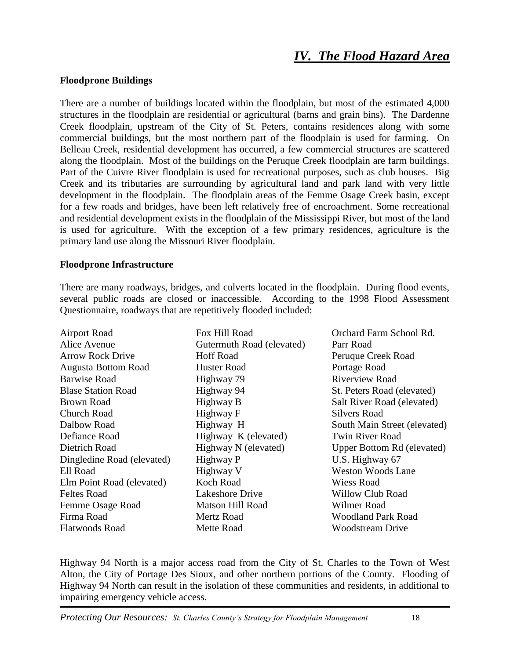## *IV. The Flood Hazard Area*

#### **Floodprone Buildings**

There are a number of buildings located within the floodplain, but most of the estimated 4,000 structures in the floodplain are residential or agricultural (barns and grain bins). The Dardenne Creek floodplain, upstream of the City of St. Peters, contains residences along with some commercial buildings, but the most northern part of the floodplain is used for farming. On Belleau Creek, residential development has occurred, a few commercial structures are scattered along the floodplain. Most of the buildings on the Peruque Creek floodplain are farm buildings. Part of the Cuivre River floodplain is used for recreational purposes, such as club houses. Big Creek and its tributaries are surrounding by agricultural land and park land with very little development in the floodplain. The floodplain areas of the Femme Osage Creek basin, except for a few roads and bridges, have been left relatively free of encroachment. Some recreational and residential development exists in the floodplain of the Mississippi River, but most of the land is used for agriculture. With the exception of a few primary residences, agriculture is the primary land use along the Missouri River floodplain.

#### **Floodprone Infrastructure**

There are many roadways, bridges, and culverts located in the floodplain. During flood events, several public roads are closed or inaccessible. According to the 1998 Flood Assessment Questionnaire, roadways that are repetitively flooded included:

| <b>Airport Road</b>        | Fox Hill Road             | Orchard Farm School Rd.      |
|----------------------------|---------------------------|------------------------------|
| Alice Avenue               | Gutermuth Road (elevated) | Parr Road                    |
| <b>Arrow Rock Drive</b>    | <b>Hoff Road</b>          | Peruque Creek Road           |
| <b>Augusta Bottom Road</b> | <b>Huster Road</b>        | Portage Road                 |
| <b>Barwise Road</b>        | Highway 79                | <b>Riverview Road</b>        |
| <b>Blase Station Road</b>  | Highway 94                | St. Peters Road (elevated)   |
| <b>Brown Road</b>          | Highway B                 | Salt River Road (elevated)   |
| <b>Church Road</b>         | Highway F                 | <b>Silvers Road</b>          |
| Dalbow Road                | Highway H                 | South Main Street (elevated) |
| Defiance Road              | Highway K (elevated)      | <b>Twin River Road</b>       |
| Dietrich Road              | Highway N (elevated)      | Upper Bottom Rd (elevated)   |
| Dingledine Road (elevated) | Highway P                 | U.S. Highway 67              |
| Ell Road                   | Highway V                 | <b>Weston Woods Lane</b>     |
| Elm Point Road (elevated)  | Koch Road                 | Wiess Road                   |
| <b>Feltes Road</b>         | Lakeshore Drive           | Willow Club Road             |
| Femme Osage Road           | Matson Hill Road          | Wilmer Road                  |
| Firma Road                 | Mertz Road                | <b>Woodland Park Road</b>    |
| Flatwoods Road             | Mette Road                | Woodstream Drive             |

Highway 94 North is a major access road from the City of St. Charles to the Town of West Alton, the City of Portage Des Sioux, and other northern portions of the County. Flooding of Highway 94 North can result in the isolation of these communities and residents, in additional to impairing emergency vehicle access.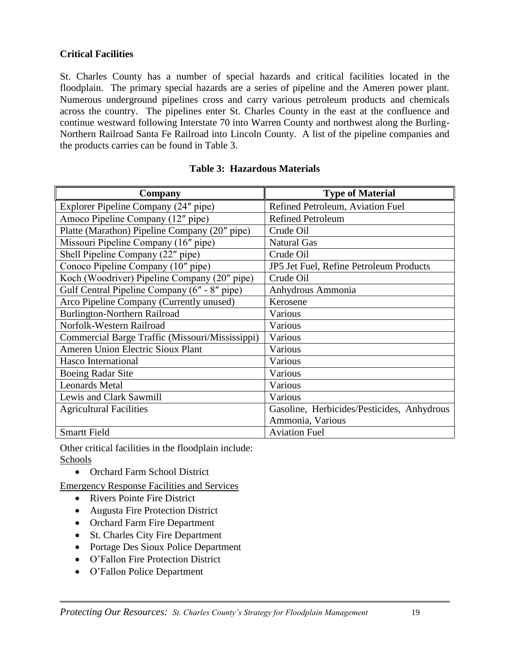#### **Critical Facilities**

St. Charles County has a number of special hazards and critical facilities located in the floodplain. The primary special hazards are a series of pipeline and the Ameren power plant. Numerous underground pipelines cross and carry various petroleum products and chemicals across the country. The pipelines enter St. Charles County in the east at the confluence and continue westward following Interstate 70 into Warren County and northwest along the Burling-Northern Railroad Santa Fe Railroad into Lincoln County. A list of the pipeline companies and the products carries can be found in Table 3.

| Company                                         | <b>Type of Material</b>                    |
|-------------------------------------------------|--------------------------------------------|
| Explorer Pipeline Company (24" pipe)            | Refined Petroleum, Aviation Fuel           |
| Amoco Pipeline Company (12" pipe)               | <b>Refined Petroleum</b>                   |
| Platte (Marathon) Pipeline Company (20" pipe)   | Crude Oil                                  |
| Missouri Pipeline Company (16" pipe)            | <b>Natural Gas</b>                         |
| Shell Pipeline Company (22" pipe)               | Crude Oil                                  |
| Conoco Pipeline Company (10" pipe)              | JP5 Jet Fuel, Refine Petroleum Products    |
| Koch (Woodriver) Pipeline Company (20" pipe)    | Crude Oil                                  |
| Gulf Central Pipeline Company (6" - 8" pipe)    | Anhydrous Ammonia                          |
| Arco Pipeline Company (Currently unused)        | Kerosene                                   |
| Burlington-Northern Railroad                    | Various                                    |
| Norfolk-Western Railroad                        | Various                                    |
| Commercial Barge Traffic (Missouri/Mississippi) | Various                                    |
| <b>Ameren Union Electric Sioux Plant</b>        | Various                                    |
| Hasco International                             | Various                                    |
| <b>Boeing Radar Site</b>                        | Various                                    |
| <b>Leonards Metal</b>                           | Various                                    |
| Lewis and Clark Sawmill                         | Various                                    |
| <b>Agricultural Facilities</b>                  | Gasoline, Herbicides/Pesticides, Anhydrous |
|                                                 | Ammonia, Various                           |
| <b>Smartt Field</b>                             | <b>Aviation Fuel</b>                       |

#### **Table 3: Hazardous Materials**

Other critical facilities in the floodplain include: Schools

• Orchard Farm School District

Emergency Response Facilities and Services

- Rivers Pointe Fire District
- Augusta Fire Protection District
- Orchard Farm Fire Department
- St. Charles City Fire Department
- Portage Des Sioux Police Department
- O'Fallon Fire Protection District
- O'Fallon Police Department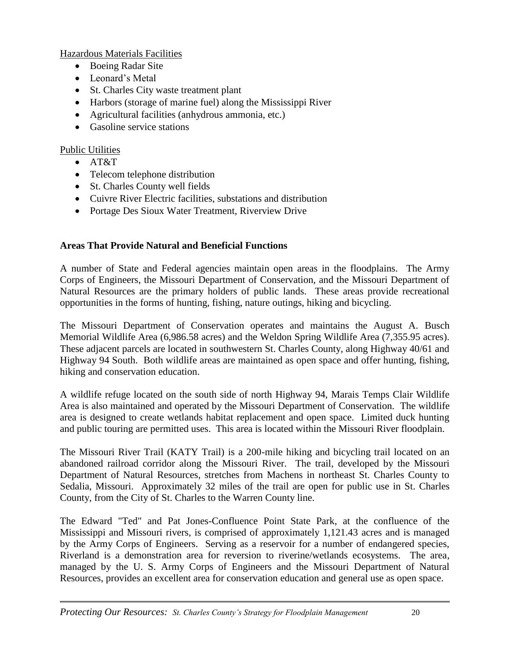Hazardous Materials Facilities

- Boeing Radar Site
- Leonard's Metal
- St. Charles City waste treatment plant
- Harbors (storage of marine fuel) along the Mississippi River
- Agricultural facilities (anhydrous ammonia, etc.)
- Gasoline service stations

#### Public Utilities

- $\bullet$  AT&T
- Telecom telephone distribution
- St. Charles County well fields
- Cuivre River Electric facilities, substations and distribution
- Portage Des Sioux Water Treatment, Riverview Drive

#### **Areas That Provide Natural and Beneficial Functions**

A number of State and Federal agencies maintain open areas in the floodplains. The Army Corps of Engineers, the Missouri Department of Conservation, and the Missouri Department of Natural Resources are the primary holders of public lands. These areas provide recreational opportunities in the forms of hunting, fishing, nature outings, hiking and bicycling.

The Missouri Department of Conservation operates and maintains the August A. Busch Memorial Wildlife Area (6,986.58 acres) and the Weldon Spring Wildlife Area (7,355.95 acres). These adjacent parcels are located in southwestern St. Charles County, along Highway 40/61 and Highway 94 South. Both wildlife areas are maintained as open space and offer hunting, fishing, hiking and conservation education.

A wildlife refuge located on the south side of north Highway 94, Marais Temps Clair Wildlife Area is also maintained and operated by the Missouri Department of Conservation. The wildlife area is designed to create wetlands habitat replacement and open space. Limited duck hunting and public touring are permitted uses. This area is located within the Missouri River floodplain.

The Missouri River Trail (KATY Trail) is a 200-mile hiking and bicycling trail located on an abandoned railroad corridor along the Missouri River. The trail, developed by the Missouri Department of Natural Resources, stretches from Machens in northeast St. Charles County to Sedalia, Missouri. Approximately 32 miles of the trail are open for public use in St. Charles County, from the City of St. Charles to the Warren County line.

The Edward "Ted" and Pat Jones-Confluence Point State Park, at the confluence of the Mississippi and Missouri rivers, is comprised of approximately 1,121.43 acres and is managed by the Army Corps of Engineers. Serving as a reservoir for a number of endangered species, Riverland is a demonstration area for reversion to riverine/wetlands ecosystems. The area, managed by the U. S. Army Corps of Engineers and the Missouri Department of Natural Resources, provides an excellent area for conservation education and general use as open space.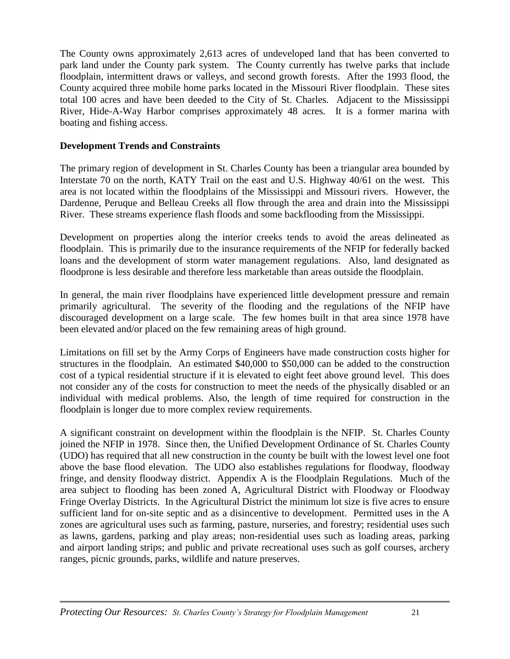The County owns approximately 2,613 acres of undeveloped land that has been converted to park land under the County park system. The County currently has twelve parks that include floodplain, intermittent draws or valleys, and second growth forests. After the 1993 flood, the County acquired three mobile home parks located in the Missouri River floodplain. These sites total 100 acres and have been deeded to the City of St. Charles. Adjacent to the Mississippi River, Hide-A-Way Harbor comprises approximately 48 acres. It is a former marina with boating and fishing access.

#### **Development Trends and Constraints**

The primary region of development in St. Charles County has been a triangular area bounded by Interstate 70 on the north, KATY Trail on the east and U.S. Highway 40/61 on the west. This area is not located within the floodplains of the Mississippi and Missouri rivers. However, the Dardenne, Peruque and Belleau Creeks all flow through the area and drain into the Mississippi River. These streams experience flash floods and some backflooding from the Mississippi.

Development on properties along the interior creeks tends to avoid the areas delineated as floodplain. This is primarily due to the insurance requirements of the NFIP for federally backed loans and the development of storm water management regulations. Also, land designated as floodprone is less desirable and therefore less marketable than areas outside the floodplain.

In general, the main river floodplains have experienced little development pressure and remain primarily agricultural. The severity of the flooding and the regulations of the NFIP have discouraged development on a large scale. The few homes built in that area since 1978 have been elevated and/or placed on the few remaining areas of high ground.

Limitations on fill set by the Army Corps of Engineers have made construction costs higher for structures in the floodplain. An estimated \$40,000 to \$50,000 can be added to the construction cost of a typical residential structure if it is elevated to eight feet above ground level. This does not consider any of the costs for construction to meet the needs of the physically disabled or an individual with medical problems. Also, the length of time required for construction in the floodplain is longer due to more complex review requirements.

A significant constraint on development within the floodplain is the NFIP. St. Charles County joined the NFIP in 1978. Since then, the Unified Development Ordinance of St. Charles County (UDO) has required that all new construction in the county be built with the lowest level one foot above the base flood elevation. The UDO also establishes regulations for floodway, floodway fringe, and density floodway district. Appendix A is the Floodplain Regulations. Much of the area subject to flooding has been zoned A, Agricultural District with Floodway or Floodway Fringe Overlay Districts. In the Agricultural District the minimum lot size is five acres to ensure sufficient land for on-site septic and as a disincentive to development. Permitted uses in the A zones are agricultural uses such as farming, pasture, nurseries, and forestry; residential uses such as lawns, gardens, parking and play areas; non-residential uses such as loading areas, parking and airport landing strips; and public and private recreational uses such as golf courses, archery ranges, picnic grounds, parks, wildlife and nature preserves.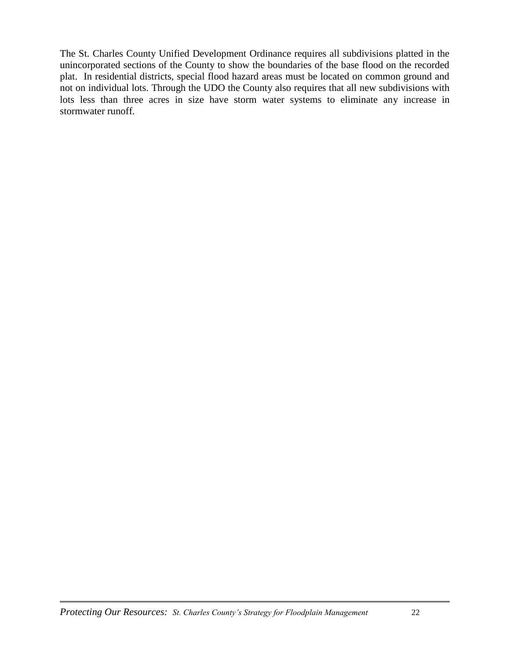The St. Charles County Unified Development Ordinance requires all subdivisions platted in the unincorporated sections of the County to show the boundaries of the base flood on the recorded plat. In residential districts, special flood hazard areas must be located on common ground and not on individual lots. Through the UDO the County also requires that all new subdivisions with lots less than three acres in size have storm water systems to eliminate any increase in stormwater runoff.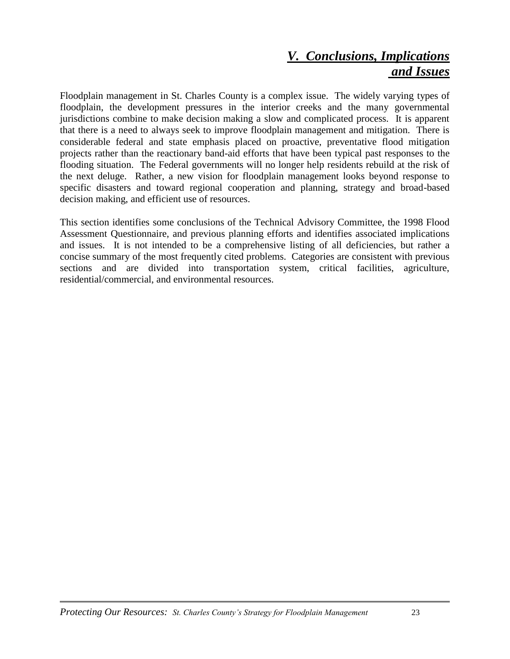### *V. Conclusions, Implications and Issues*

Floodplain management in St. Charles County is a complex issue. The widely varying types of floodplain, the development pressures in the interior creeks and the many governmental jurisdictions combine to make decision making a slow and complicated process. It is apparent that there is a need to always seek to improve floodplain management and mitigation. There is considerable federal and state emphasis placed on proactive, preventative flood mitigation projects rather than the reactionary band-aid efforts that have been typical past responses to the flooding situation. The Federal governments will no longer help residents rebuild at the risk of the next deluge. Rather, a new vision for floodplain management looks beyond response to specific disasters and toward regional cooperation and planning, strategy and broad-based decision making, and efficient use of resources.

This section identifies some conclusions of the Technical Advisory Committee, the 1998 Flood Assessment Questionnaire, and previous planning efforts and identifies associated implications and issues. It is not intended to be a comprehensive listing of all deficiencies, but rather a concise summary of the most frequently cited problems. Categories are consistent with previous sections and are divided into transportation system, critical facilities, agriculture, residential/commercial, and environmental resources.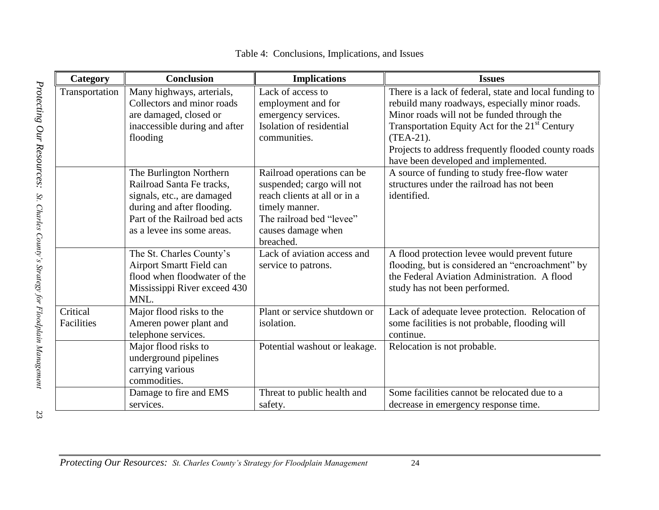| Category       | <b>Conclusion</b>             | <b>Implications</b>           | <b>Issues</b>                                              |
|----------------|-------------------------------|-------------------------------|------------------------------------------------------------|
| Transportation | Many highways, arterials,     | Lack of access to             | There is a lack of federal, state and local funding to     |
|                | Collectors and minor roads    | employment and for            | rebuild many roadways, especially minor roads.             |
|                | are damaged, closed or        | emergency services.           | Minor roads will not be funded through the                 |
|                | inaccessible during and after | Isolation of residential      | Transportation Equity Act for the 21 <sup>st</sup> Century |
|                | flooding                      | communities.                  | $(TEA-21).$                                                |
|                |                               |                               | Projects to address frequently flooded county roads        |
|                |                               |                               | have been developed and implemented.                       |
|                | The Burlington Northern       | Railroad operations can be    | A source of funding to study free-flow water               |
|                | Railroad Santa Fe tracks,     | suspended; cargo will not     | structures under the railroad has not been                 |
|                | signals, etc., are damaged    | reach clients at all or in a  | identified.                                                |
|                | during and after flooding.    | timely manner.                |                                                            |
|                | Part of the Railroad bed acts | The railroad bed "levee"      |                                                            |
|                | as a levee ins some areas.    | causes damage when            |                                                            |
|                |                               | breached.                     |                                                            |
|                | The St. Charles County's      | Lack of aviation access and   | A flood protection levee would prevent future              |
|                | Airport Smartt Field can      | service to patrons.           | flooding, but is considered an "encroachment" by           |
|                | flood when floodwater of the  |                               | the Federal Aviation Administration. A flood               |
|                | Mississippi River exceed 430  |                               | study has not been performed.                              |
|                | MNL.                          |                               |                                                            |
| Critical       | Major flood risks to the      | Plant or service shutdown or  | Lack of adequate levee protection. Relocation of           |
| Facilities     | Ameren power plant and        | isolation.                    | some facilities is not probable, flooding will             |
|                | telephone services.           |                               | continue.                                                  |
|                | Major flood risks to          | Potential washout or leakage. | Relocation is not probable.                                |
|                | underground pipelines         |                               |                                                            |
|                | carrying various              |                               |                                                            |
|                | commodities.                  |                               |                                                            |
|                | Damage to fire and EMS        | Threat to public health and   | Some facilities cannot be relocated due to a               |
|                | services.                     | safety.                       | decrease in emergency response time.                       |

Table 4: Conclusions, Implications, and Issues

23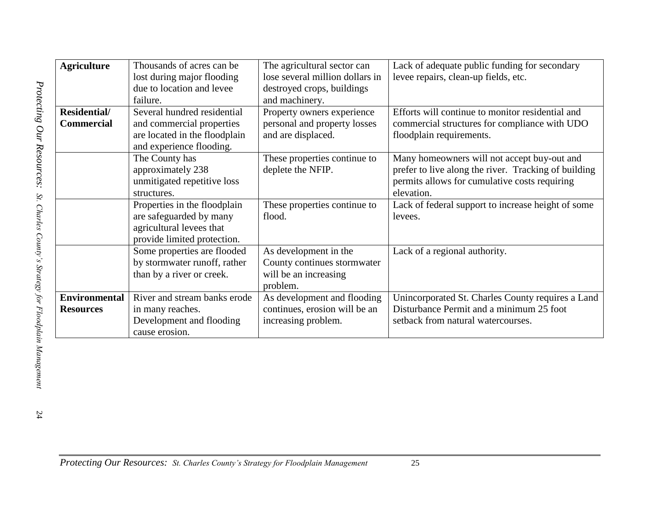| <b>Agriculture</b>   | Thousands of acres can be.    | The agricultural sector can     | Lack of adequate public funding for secondary        |
|----------------------|-------------------------------|---------------------------------|------------------------------------------------------|
|                      | lost during major flooding    | lose several million dollars in | levee repairs, clean-up fields, etc.                 |
|                      | due to location and levee     | destroyed crops, buildings      |                                                      |
|                      | failure.                      | and machinery.                  |                                                      |
| Residential/         | Several hundred residential   | Property owners experience      | Efforts will continue to monitor residential and     |
| <b>Commercial</b>    | and commercial properties     | personal and property losses    | commercial structures for compliance with UDO        |
|                      | are located in the floodplain | and are displaced.              | floodplain requirements.                             |
|                      | and experience flooding.      |                                 |                                                      |
|                      | The County has                | These properties continue to    | Many homeowners will not accept buy-out and          |
|                      | approximately 238             | deplete the NFIP.               | prefer to live along the river. Tracking of building |
|                      | unmitigated repetitive loss   |                                 | permits allows for cumulative costs requiring        |
|                      | structures.                   |                                 | elevation.                                           |
|                      | Properties in the floodplain  | These properties continue to    | Lack of federal support to increase height of some   |
|                      | are safeguarded by many       | flood.                          | levees.                                              |
|                      | agricultural levees that      |                                 |                                                      |
|                      | provide limited protection.   |                                 |                                                      |
|                      | Some properties are flooded   | As development in the           | Lack of a regional authority.                        |
|                      | by stormwater runoff, rather  | County continues stormwater     |                                                      |
|                      | than by a river or creek.     | will be an increasing           |                                                      |
|                      |                               | problem.                        |                                                      |
| <b>Environmental</b> | River and stream banks erode  | As development and flooding     | Unincorporated St. Charles County requires a Land    |
| <b>Resources</b>     | in many reaches.              | continues, erosion will be an   | Disturbance Permit and a minimum 25 foot             |
|                      | Development and flooding      | increasing problem.             | setback from natural watercourses.                   |
|                      | cause erosion.                |                                 |                                                      |

24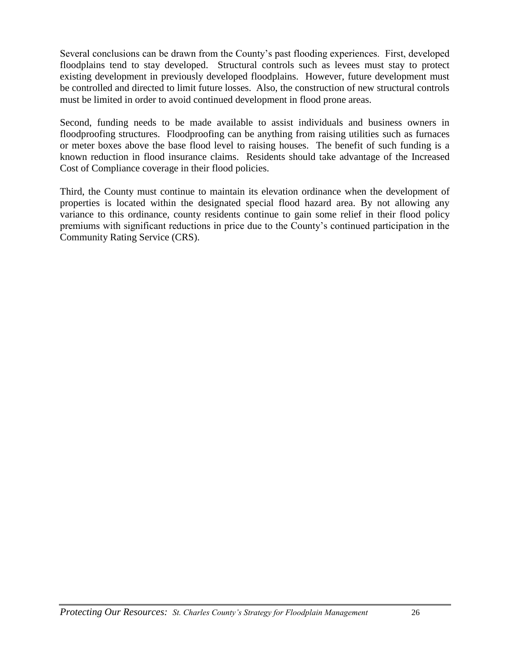Several conclusions can be drawn from the County's past flooding experiences. First, developed floodplains tend to stay developed. Structural controls such as levees must stay to protect existing development in previously developed floodplains. However, future development must be controlled and directed to limit future losses. Also, the construction of new structural controls must be limited in order to avoid continued development in flood prone areas.

Second, funding needs to be made available to assist individuals and business owners in floodproofing structures. Floodproofing can be anything from raising utilities such as furnaces or meter boxes above the base flood level to raising houses. The benefit of such funding is a known reduction in flood insurance claims. Residents should take advantage of the Increased Cost of Compliance coverage in their flood policies.

Third, the County must continue to maintain its elevation ordinance when the development of properties is located within the designated special flood hazard area. By not allowing any variance to this ordinance, county residents continue to gain some relief in their flood policy premiums with significant reductions in price due to the County's continued participation in the Community Rating Service (CRS).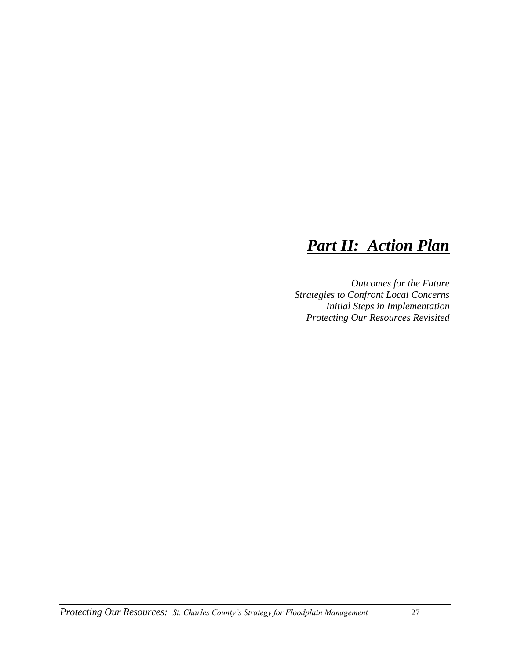## *Part II: Action Plan*

*Outcomes for the Future Strategies to Confront Local Concerns Initial Steps in Implementation Protecting Our Resources Revisited*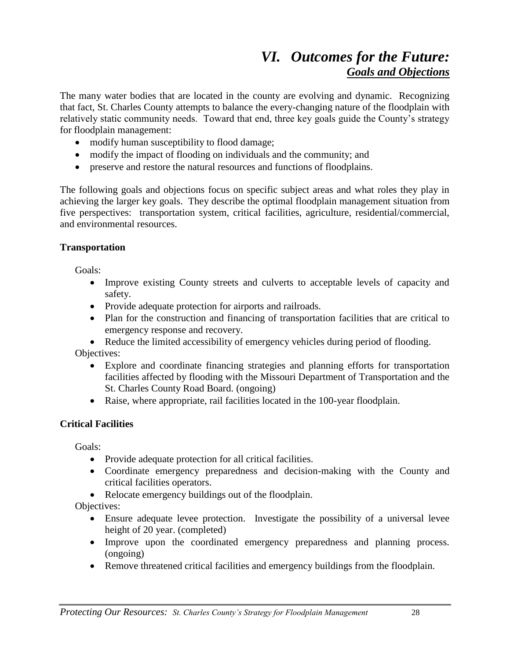## *VI. Outcomes for the Future: Goals and Objections*

The many water bodies that are located in the county are evolving and dynamic. Recognizing that fact, St. Charles County attempts to balance the every-changing nature of the floodplain with relatively static community needs. Toward that end, three key goals guide the County's strategy for floodplain management:

- modify human susceptibility to flood damage;
- modify the impact of flooding on individuals and the community; and
- preserve and restore the natural resources and functions of floodplains.

The following goals and objections focus on specific subject areas and what roles they play in achieving the larger key goals. They describe the optimal floodplain management situation from five perspectives: transportation system, critical facilities, agriculture, residential/commercial, and environmental resources.

#### **Transportation**

Goals:

- Improve existing County streets and culverts to acceptable levels of capacity and safety.
- Provide adequate protection for airports and railroads.
- Plan for the construction and financing of transportation facilities that are critical to emergency response and recovery.

 Reduce the limited accessibility of emergency vehicles during period of flooding. Objectives:

- Explore and coordinate financing strategies and planning efforts for transportation facilities affected by flooding with the Missouri Department of Transportation and the St. Charles County Road Board. (ongoing)
- Raise, where appropriate, rail facilities located in the 100-year floodplain.

#### **Critical Facilities**

Goals:

- Provide adequate protection for all critical facilities.
- Coordinate emergency preparedness and decision-making with the County and critical facilities operators.
- Relocate emergency buildings out of the floodplain.

Objectives:

- Ensure adequate levee protection. Investigate the possibility of a universal levee height of 20 year. (completed)
- Improve upon the coordinated emergency preparedness and planning process. (ongoing)
- Remove threatened critical facilities and emergency buildings from the floodplain.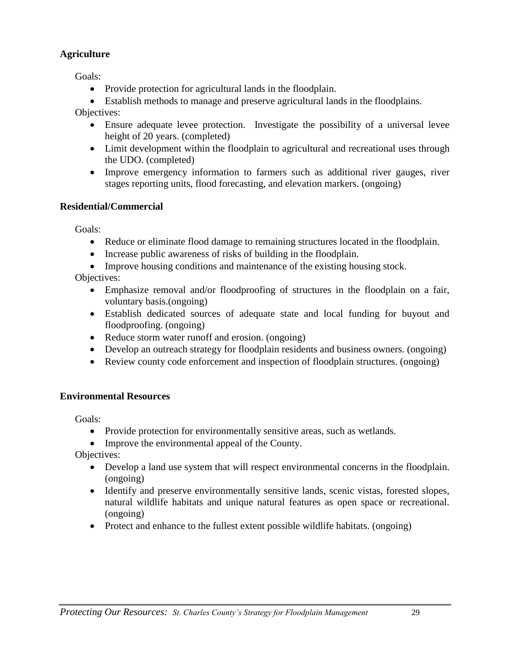#### **Agriculture**

Goals:

• Provide protection for agricultural lands in the floodplain.

Establish methods to manage and preserve agricultural lands in the floodplains.

Objectives:

- Ensure adequate levee protection. Investigate the possibility of a universal levee height of 20 years. (completed)
- Limit development within the floodplain to agricultural and recreational uses through the UDO. (completed)
- Improve emergency information to farmers such as additional river gauges, river stages reporting units, flood forecasting, and elevation markers. (ongoing)

#### **Residential/Commercial**

Goals:

- Reduce or eliminate flood damage to remaining structures located in the floodplain.
- Increase public awareness of risks of building in the floodplain.
- Improve housing conditions and maintenance of the existing housing stock.

Objectives:

- Emphasize removal and/or floodproofing of structures in the floodplain on a fair, voluntary basis.(ongoing)
- Establish dedicated sources of adequate state and local funding for buyout and floodproofing. (ongoing)
- Reduce storm water runoff and erosion. (ongoing)
- Develop an outreach strategy for floodplain residents and business owners. (ongoing)
- Review county code enforcement and inspection of floodplain structures. (ongoing)

#### **Environmental Resources**

Goals:

- Provide protection for environmentally sensitive areas, such as wetlands.
- Improve the environmental appeal of the County.

Objectives:

- Develop a land use system that will respect environmental concerns in the floodplain. (ongoing)
- Identify and preserve environmentally sensitive lands, scenic vistas, forested slopes, natural wildlife habitats and unique natural features as open space or recreational. (ongoing)
- Protect and enhance to the fullest extent possible wildlife habitats. (ongoing)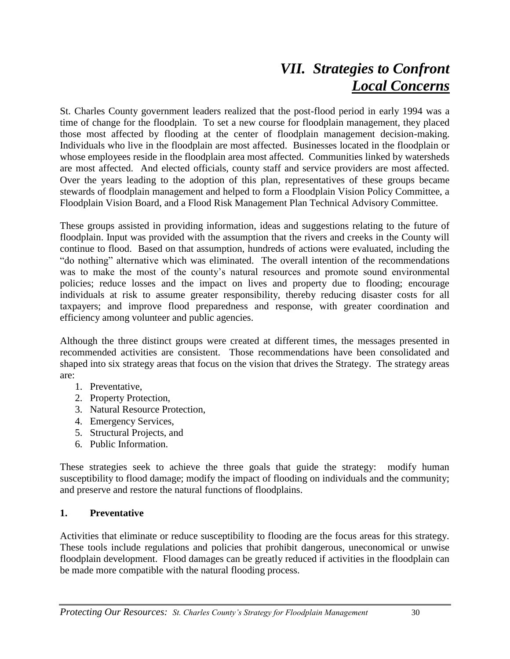## *VII. Strategies to Confront Local Concerns*

St. Charles County government leaders realized that the post-flood period in early 1994 was a time of change for the floodplain. To set a new course for floodplain management, they placed those most affected by flooding at the center of floodplain management decision-making. Individuals who live in the floodplain are most affected. Businesses located in the floodplain or whose employees reside in the floodplain area most affected. Communities linked by watersheds are most affected. And elected officials, county staff and service providers are most affected. Over the years leading to the adoption of this plan, representatives of these groups became stewards of floodplain management and helped to form a Floodplain Vision Policy Committee, a Floodplain Vision Board, and a Flood Risk Management Plan Technical Advisory Committee.

These groups assisted in providing information, ideas and suggestions relating to the future of floodplain. Input was provided with the assumption that the rivers and creeks in the County will continue to flood. Based on that assumption, hundreds of actions were evaluated, including the "do nothing" alternative which was eliminated. The overall intention of the recommendations was to make the most of the county's natural resources and promote sound environmental policies; reduce losses and the impact on lives and property due to flooding; encourage individuals at risk to assume greater responsibility, thereby reducing disaster costs for all taxpayers; and improve flood preparedness and response, with greater coordination and efficiency among volunteer and public agencies.

Although the three distinct groups were created at different times, the messages presented in recommended activities are consistent. Those recommendations have been consolidated and shaped into six strategy areas that focus on the vision that drives the Strategy. The strategy areas are:

- 1. Preventative,
- 2. Property Protection,
- 3. Natural Resource Protection,
- 4. Emergency Services,
- 5. Structural Projects, and
- 6. Public Information.

These strategies seek to achieve the three goals that guide the strategy: modify human susceptibility to flood damage; modify the impact of flooding on individuals and the community; and preserve and restore the natural functions of floodplains.

#### **1. Preventative**

Activities that eliminate or reduce susceptibility to flooding are the focus areas for this strategy. These tools include regulations and policies that prohibit dangerous, uneconomical or unwise floodplain development. Flood damages can be greatly reduced if activities in the floodplain can be made more compatible with the natural flooding process.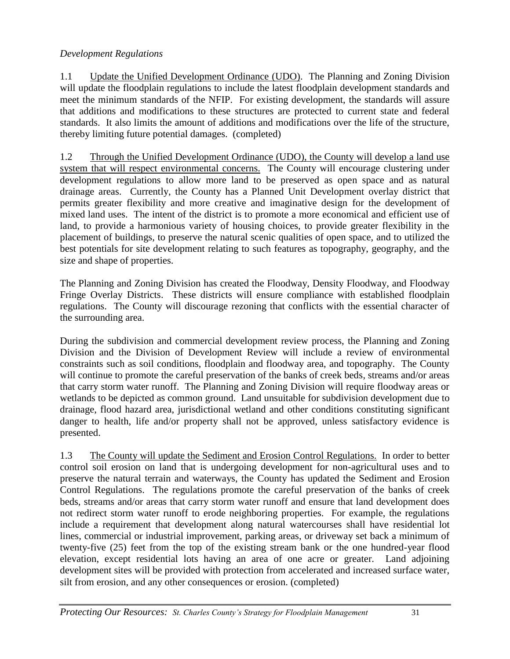#### *Development Regulations*

1.1 Update the Unified Development Ordinance (UDO). The Planning and Zoning Division will update the floodplain regulations to include the latest floodplain development standards and meet the minimum standards of the NFIP. For existing development, the standards will assure that additions and modifications to these structures are protected to current state and federal standards. It also limits the amount of additions and modifications over the life of the structure, thereby limiting future potential damages. (completed)

1.2 Through the Unified Development Ordinance (UDO), the County will develop a land use system that will respect environmental concerns. The County will encourage clustering under development regulations to allow more land to be preserved as open space and as natural drainage areas. Currently, the County has a Planned Unit Development overlay district that permits greater flexibility and more creative and imaginative design for the development of mixed land uses. The intent of the district is to promote a more economical and efficient use of land, to provide a harmonious variety of housing choices, to provide greater flexibility in the placement of buildings, to preserve the natural scenic qualities of open space, and to utilized the best potentials for site development relating to such features as topography, geography, and the size and shape of properties.

The Planning and Zoning Division has created the Floodway, Density Floodway, and Floodway Fringe Overlay Districts. These districts will ensure compliance with established floodplain regulations. The County will discourage rezoning that conflicts with the essential character of the surrounding area.

During the subdivision and commercial development review process, the Planning and Zoning Division and the Division of Development Review will include a review of environmental constraints such as soil conditions, floodplain and floodway area, and topography. The County will continue to promote the careful preservation of the banks of creek beds, streams and/or areas that carry storm water runoff. The Planning and Zoning Division will require floodway areas or wetlands to be depicted as common ground. Land unsuitable for subdivision development due to drainage, flood hazard area, jurisdictional wetland and other conditions constituting significant danger to health, life and/or property shall not be approved, unless satisfactory evidence is presented.

1.3 The County will update the Sediment and Erosion Control Regulations. In order to better control soil erosion on land that is undergoing development for non-agricultural uses and to preserve the natural terrain and waterways, the County has updated the Sediment and Erosion Control Regulations. The regulations promote the careful preservation of the banks of creek beds, streams and/or areas that carry storm water runoff and ensure that land development does not redirect storm water runoff to erode neighboring properties. For example, the regulations include a requirement that development along natural watercourses shall have residential lot lines, commercial or industrial improvement, parking areas, or driveway set back a minimum of twenty-five (25) feet from the top of the existing stream bank or the one hundred-year flood elevation, except residential lots having an area of one acre or greater. Land adjoining development sites will be provided with protection from accelerated and increased surface water, silt from erosion, and any other consequences or erosion. (completed)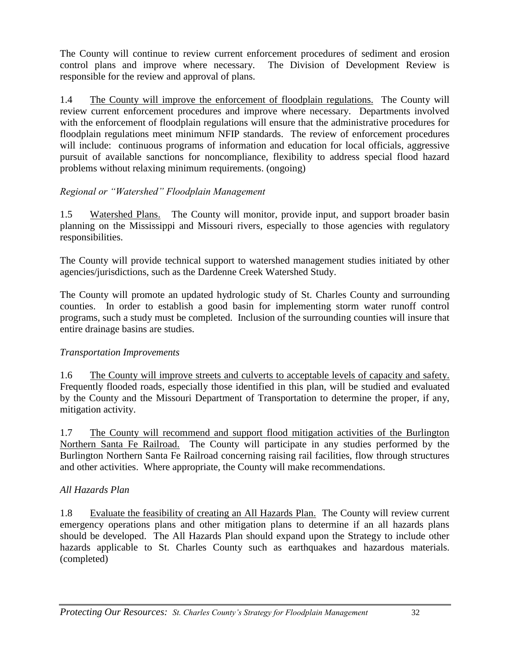The County will continue to review current enforcement procedures of sediment and erosion control plans and improve where necessary. The Division of Development Review is responsible for the review and approval of plans.

1.4 The County will improve the enforcement of floodplain regulations. The County will review current enforcement procedures and improve where necessary. Departments involved with the enforcement of floodplain regulations will ensure that the administrative procedures for floodplain regulations meet minimum NFIP standards. The review of enforcement procedures will include: continuous programs of information and education for local officials, aggressive pursuit of available sanctions for noncompliance, flexibility to address special flood hazard problems without relaxing minimum requirements. (ongoing)

#### *Regional or "Watershed" Floodplain Management*

1.5 Watershed Plans. The County will monitor, provide input, and support broader basin planning on the Mississippi and Missouri rivers, especially to those agencies with regulatory responsibilities.

The County will provide technical support to watershed management studies initiated by other agencies/jurisdictions, such as the Dardenne Creek Watershed Study.

The County will promote an updated hydrologic study of St. Charles County and surrounding counties. In order to establish a good basin for implementing storm water runoff control programs, such a study must be completed. Inclusion of the surrounding counties will insure that entire drainage basins are studies.

#### *Transportation Improvements*

1.6 The County will improve streets and culverts to acceptable levels of capacity and safety. Frequently flooded roads, especially those identified in this plan, will be studied and evaluated by the County and the Missouri Department of Transportation to determine the proper, if any, mitigation activity.

1.7 The County will recommend and support flood mitigation activities of the Burlington Northern Santa Fe Railroad. The County will participate in any studies performed by the Burlington Northern Santa Fe Railroad concerning raising rail facilities, flow through structures and other activities. Where appropriate, the County will make recommendations.

#### *All Hazards Plan*

1.8 Evaluate the feasibility of creating an All Hazards Plan. The County will review current emergency operations plans and other mitigation plans to determine if an all hazards plans should be developed. The All Hazards Plan should expand upon the Strategy to include other hazards applicable to St. Charles County such as earthquakes and hazardous materials. (completed)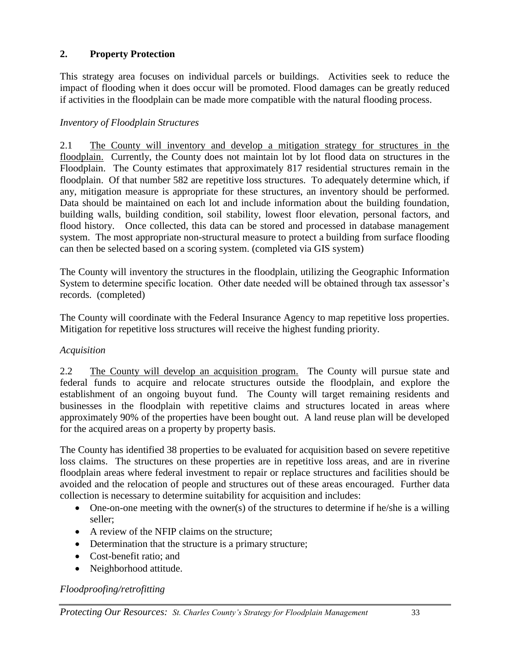#### **2. Property Protection**

This strategy area focuses on individual parcels or buildings. Activities seek to reduce the impact of flooding when it does occur will be promoted. Flood damages can be greatly reduced if activities in the floodplain can be made more compatible with the natural flooding process.

#### *Inventory of Floodplain Structures*

2.1 The County will inventory and develop a mitigation strategy for structures in the floodplain. Currently, the County does not maintain lot by lot flood data on structures in the Floodplain. The County estimates that approximately 817 residential structures remain in the floodplain. Of that number 582 are repetitive loss structures. To adequately determine which, if any, mitigation measure is appropriate for these structures, an inventory should be performed. Data should be maintained on each lot and include information about the building foundation, building walls, building condition, soil stability, lowest floor elevation, personal factors, and flood history. Once collected, this data can be stored and processed in database management system. The most appropriate non-structural measure to protect a building from surface flooding can then be selected based on a scoring system. (completed via GIS system)

The County will inventory the structures in the floodplain, utilizing the Geographic Information System to determine specific location. Other date needed will be obtained through tax assessor's records. (completed)

The County will coordinate with the Federal Insurance Agency to map repetitive loss properties. Mitigation for repetitive loss structures will receive the highest funding priority.

#### *Acquisition*

2.2 The County will develop an acquisition program. The County will pursue state and federal funds to acquire and relocate structures outside the floodplain, and explore the establishment of an ongoing buyout fund. The County will target remaining residents and businesses in the floodplain with repetitive claims and structures located in areas where approximately 90% of the properties have been bought out. A land reuse plan will be developed for the acquired areas on a property by property basis.

The County has identified 38 properties to be evaluated for acquisition based on severe repetitive loss claims. The structures on these properties are in repetitive loss areas, and are in riverine floodplain areas where federal investment to repair or replace structures and facilities should be avoided and the relocation of people and structures out of these areas encouraged. Further data collection is necessary to determine suitability for acquisition and includes:

- One-on-one meeting with the owner(s) of the structures to determine if he/she is a willing seller;
- A review of the NFIP claims on the structure;
- Determination that the structure is a primary structure;
- Cost-benefit ratio; and
- Neighborhood attitude.

#### *Floodproofing/retrofitting*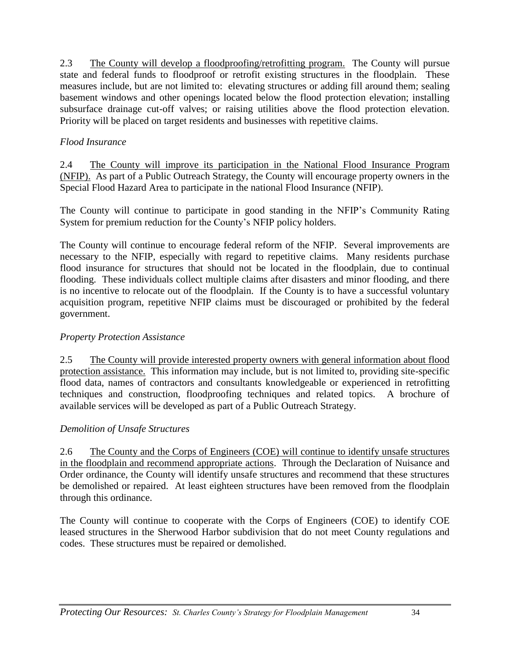2.3 The County will develop a floodproofing/retrofitting program. The County will pursue state and federal funds to floodproof or retrofit existing structures in the floodplain. These measures include, but are not limited to: elevating structures or adding fill around them; sealing basement windows and other openings located below the flood protection elevation; installing subsurface drainage cut-off valves; or raising utilities above the flood protection elevation. Priority will be placed on target residents and businesses with repetitive claims.

#### *Flood Insurance*

2.4 The County will improve its participation in the National Flood Insurance Program (NFIP). As part of a Public Outreach Strategy, the County will encourage property owners in the Special Flood Hazard Area to participate in the national Flood Insurance (NFIP).

The County will continue to participate in good standing in the NFIP's Community Rating System for premium reduction for the County's NFIP policy holders.

The County will continue to encourage federal reform of the NFIP. Several improvements are necessary to the NFIP, especially with regard to repetitive claims. Many residents purchase flood insurance for structures that should not be located in the floodplain, due to continual flooding. These individuals collect multiple claims after disasters and minor flooding, and there is no incentive to relocate out of the floodplain. If the County is to have a successful voluntary acquisition program, repetitive NFIP claims must be discouraged or prohibited by the federal government.

#### *Property Protection Assistance*

2.5 The County will provide interested property owners with general information about flood protection assistance. This information may include, but is not limited to, providing site-specific flood data, names of contractors and consultants knowledgeable or experienced in retrofitting techniques and construction, floodproofing techniques and related topics. A brochure of available services will be developed as part of a Public Outreach Strategy.

#### *Demolition of Unsafe Structures*

2.6 The County and the Corps of Engineers (COE) will continue to identify unsafe structures in the floodplain and recommend appropriate actions. Through the Declaration of Nuisance and Order ordinance, the County will identify unsafe structures and recommend that these structures be demolished or repaired. At least eighteen structures have been removed from the floodplain through this ordinance.

The County will continue to cooperate with the Corps of Engineers (COE) to identify COE leased structures in the Sherwood Harbor subdivision that do not meet County regulations and codes. These structures must be repaired or demolished.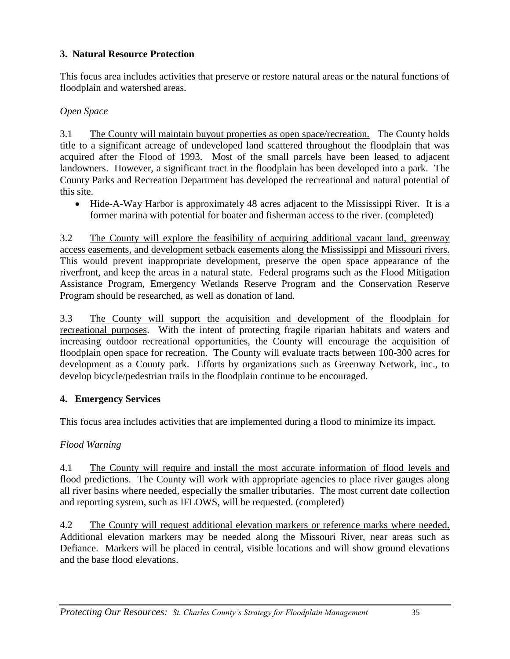#### **3. Natural Resource Protection**

This focus area includes activities that preserve or restore natural areas or the natural functions of floodplain and watershed areas.

#### *Open Space*

3.1 The County will maintain buyout properties as open space/recreation. The County holds title to a significant acreage of undeveloped land scattered throughout the floodplain that was acquired after the Flood of 1993. Most of the small parcels have been leased to adjacent landowners. However, a significant tract in the floodplain has been developed into a park. The County Parks and Recreation Department has developed the recreational and natural potential of this site.

 Hide-A-Way Harbor is approximately 48 acres adjacent to the Mississippi River. It is a former marina with potential for boater and fisherman access to the river. (completed)

3.2 The County will explore the feasibility of acquiring additional vacant land, greenway access easements, and development setback easements along the Mississippi and Missouri rivers. This would prevent inappropriate development, preserve the open space appearance of the riverfront, and keep the areas in a natural state. Federal programs such as the Flood Mitigation Assistance Program, Emergency Wetlands Reserve Program and the Conservation Reserve Program should be researched, as well as donation of land.

3.3 The County will support the acquisition and development of the floodplain for recreational purposes. With the intent of protecting fragile riparian habitats and waters and increasing outdoor recreational opportunities, the County will encourage the acquisition of floodplain open space for recreation. The County will evaluate tracts between 100-300 acres for development as a County park. Efforts by organizations such as Greenway Network, inc., to develop bicycle/pedestrian trails in the floodplain continue to be encouraged.

#### **4. Emergency Services**

This focus area includes activities that are implemented during a flood to minimize its impact.

#### *Flood Warning*

4.1 The County will require and install the most accurate information of flood levels and flood predictions. The County will work with appropriate agencies to place river gauges along all river basins where needed, especially the smaller tributaries. The most current date collection and reporting system, such as IFLOWS, will be requested. (completed)

4.2 The County will request additional elevation markers or reference marks where needed. Additional elevation markers may be needed along the Missouri River, near areas such as Defiance. Markers will be placed in central, visible locations and will show ground elevations and the base flood elevations.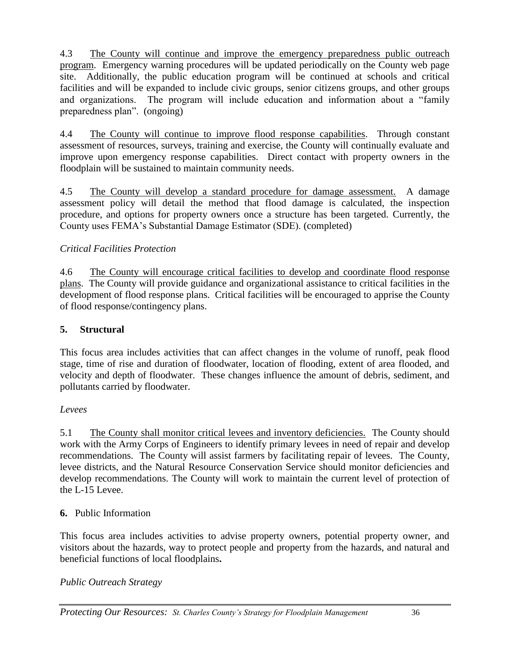4.3 The County will continue and improve the emergency preparedness public outreach program. Emergency warning procedures will be updated periodically on the County web page site. Additionally, the public education program will be continued at schools and critical facilities and will be expanded to include civic groups, senior citizens groups, and other groups and organizations. The program will include education and information about a "family preparedness plan". (ongoing)

4.4 The County will continue to improve flood response capabilities. Through constant assessment of resources, surveys, training and exercise, the County will continually evaluate and improve upon emergency response capabilities. Direct contact with property owners in the floodplain will be sustained to maintain community needs.

4.5 The County will develop a standard procedure for damage assessment. A damage assessment policy will detail the method that flood damage is calculated, the inspection procedure, and options for property owners once a structure has been targeted. Currently, the County uses FEMA's Substantial Damage Estimator (SDE). (completed)

#### *Critical Facilities Protection*

4.6 The County will encourage critical facilities to develop and coordinate flood response plans. The County will provide guidance and organizational assistance to critical facilities in the development of flood response plans. Critical facilities will be encouraged to apprise the County of flood response/contingency plans.

#### **5. Structural**

This focus area includes activities that can affect changes in the volume of runoff, peak flood stage, time of rise and duration of floodwater, location of flooding, extent of area flooded, and velocity and depth of floodwater. These changes influence the amount of debris, sediment, and pollutants carried by floodwater.

#### *Levees*

5.1 The County shall monitor critical levees and inventory deficiencies. The County should work with the Army Corps of Engineers to identify primary levees in need of repair and develop recommendations. The County will assist farmers by facilitating repair of levees. The County, levee districts, and the Natural Resource Conservation Service should monitor deficiencies and develop recommendations. The County will work to maintain the current level of protection of the L-15 Levee.

#### **6.** Public Information

This focus area includes activities to advise property owners, potential property owner, and visitors about the hazards, way to protect people and property from the hazards, and natural and beneficial functions of local floodplains**.**

#### *Public Outreach Strategy*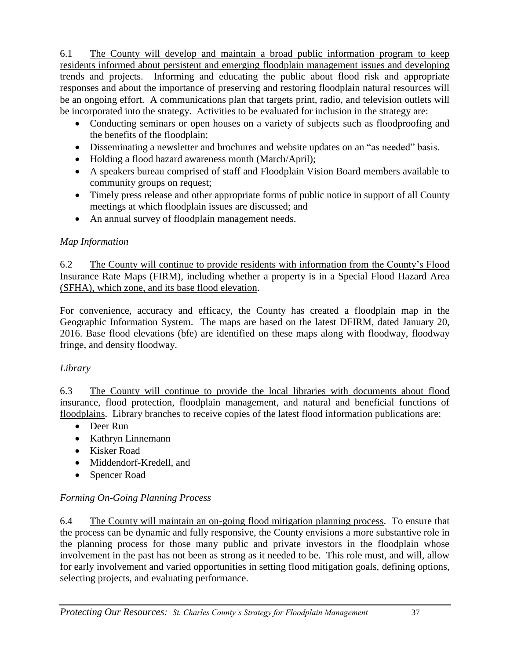6.1 The County will develop and maintain a broad public information program to keep residents informed about persistent and emerging floodplain management issues and developing trends and projects. Informing and educating the public about flood risk and appropriate responses and about the importance of preserving and restoring floodplain natural resources will be an ongoing effort. A communications plan that targets print, radio, and television outlets will be incorporated into the strategy. Activities to be evaluated for inclusion in the strategy are:

- Conducting seminars or open houses on a variety of subjects such as floodproofing and the benefits of the floodplain;
- Disseminating a newsletter and brochures and website updates on an "as needed" basis.
- Holding a flood hazard awareness month (March/April);
- A speakers bureau comprised of staff and Floodplain Vision Board members available to community groups on request;
- Timely press release and other appropriate forms of public notice in support of all County meetings at which floodplain issues are discussed; and
- An annual survey of floodplain management needs.

#### *Map Information*

6.2 The County will continue to provide residents with information from the County's Flood Insurance Rate Maps (FIRM), including whether a property is in a Special Flood Hazard Area (SFHA), which zone, and its base flood elevation.

For convenience, accuracy and efficacy, the County has created a floodplain map in the Geographic Information System. The maps are based on the latest DFIRM, dated January 20, 2016. Base flood elevations (bfe) are identified on these maps along with floodway, floodway fringe, and density floodway.

### *Library*

6.3 The County will continue to provide the local libraries with documents about flood insurance, flood protection, floodplain management, and natural and beneficial functions of floodplains. Library branches to receive copies of the latest flood information publications are:

- Deer Run
- Kathryn Linnemann
- Kisker Road
- Middendorf-Kredell, and
- Spencer Road

### *Forming On-Going Planning Process*

6.4 The County will maintain an on-going flood mitigation planning process. To ensure that the process can be dynamic and fully responsive, the County envisions a more substantive role in the planning process for those many public and private investors in the floodplain whose involvement in the past has not been as strong as it needed to be. This role must, and will, allow for early involvement and varied opportunities in setting flood mitigation goals, defining options, selecting projects, and evaluating performance.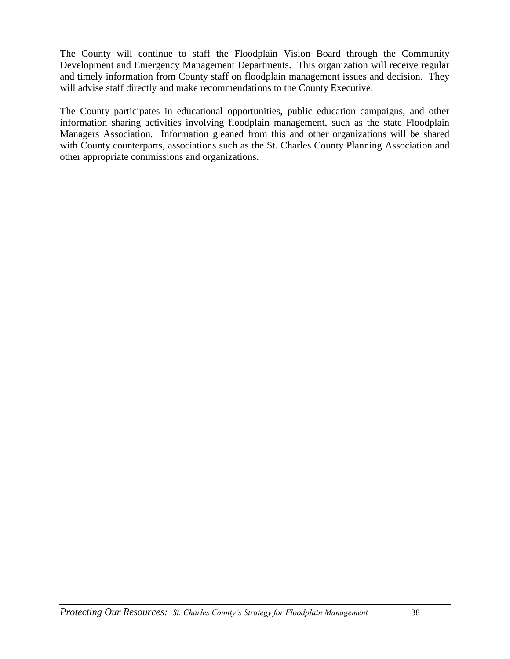The County will continue to staff the Floodplain Vision Board through the Community Development and Emergency Management Departments. This organization will receive regular and timely information from County staff on floodplain management issues and decision. They will advise staff directly and make recommendations to the County Executive.

The County participates in educational opportunities, public education campaigns, and other information sharing activities involving floodplain management, such as the state Floodplain Managers Association. Information gleaned from this and other organizations will be shared with County counterparts, associations such as the St. Charles County Planning Association and other appropriate commissions and organizations.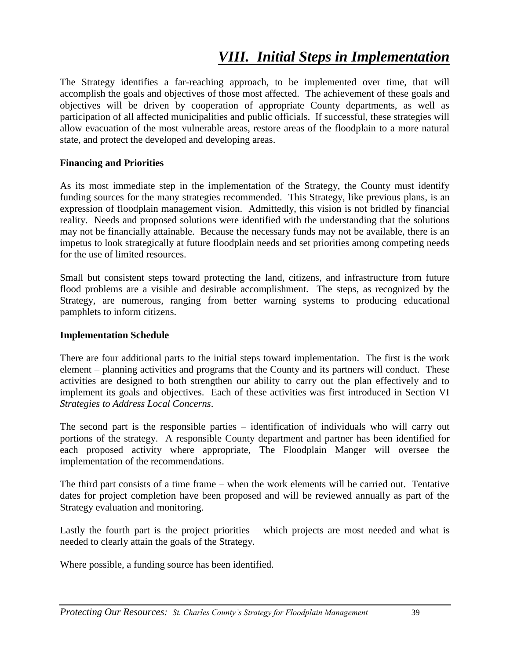## *VIII. Initial Steps in Implementation*

The Strategy identifies a far-reaching approach, to be implemented over time, that will accomplish the goals and objectives of those most affected. The achievement of these goals and objectives will be driven by cooperation of appropriate County departments, as well as participation of all affected municipalities and public officials. If successful, these strategies will allow evacuation of the most vulnerable areas, restore areas of the floodplain to a more natural state, and protect the developed and developing areas.

#### **Financing and Priorities**

As its most immediate step in the implementation of the Strategy, the County must identify funding sources for the many strategies recommended. This Strategy, like previous plans, is an expression of floodplain management vision. Admittedly, this vision is not bridled by financial reality. Needs and proposed solutions were identified with the understanding that the solutions may not be financially attainable. Because the necessary funds may not be available, there is an impetus to look strategically at future floodplain needs and set priorities among competing needs for the use of limited resources.

Small but consistent steps toward protecting the land, citizens, and infrastructure from future flood problems are a visible and desirable accomplishment. The steps, as recognized by the Strategy, are numerous, ranging from better warning systems to producing educational pamphlets to inform citizens.

#### **Implementation Schedule**

There are four additional parts to the initial steps toward implementation. The first is the work element – planning activities and programs that the County and its partners will conduct. These activities are designed to both strengthen our ability to carry out the plan effectively and to implement its goals and objectives. Each of these activities was first introduced in Section VI *Strategies to Address Local Concerns*.

The second part is the responsible parties – identification of individuals who will carry out portions of the strategy. A responsible County department and partner has been identified for each proposed activity where appropriate, The Floodplain Manger will oversee the implementation of the recommendations.

The third part consists of a time frame – when the work elements will be carried out. Tentative dates for project completion have been proposed and will be reviewed annually as part of the Strategy evaluation and monitoring.

Lastly the fourth part is the project priorities – which projects are most needed and what is needed to clearly attain the goals of the Strategy.

Where possible, a funding source has been identified.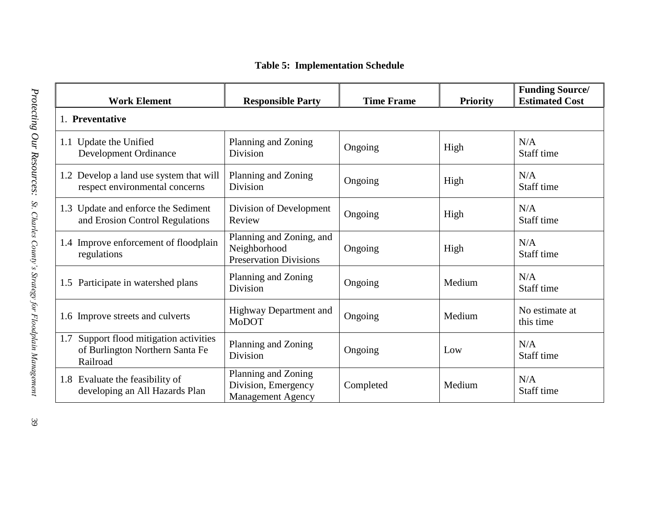| <b>Table 5: Implementation Schedule</b> |  |  |
|-----------------------------------------|--|--|
|-----------------------------------------|--|--|

| <b>Work Element</b>                                                                    | <b>Responsible Party</b>                                                  | <b>Time Frame</b> | <b>Priority</b> | <b>Funding Source/</b><br><b>Estimated Cost</b> |  |  |
|----------------------------------------------------------------------------------------|---------------------------------------------------------------------------|-------------------|-----------------|-------------------------------------------------|--|--|
| 1. Preventative                                                                        |                                                                           |                   |                 |                                                 |  |  |
| 1.1 Update the Unified<br><b>Development Ordinance</b>                                 | Planning and Zoning<br>Division                                           | Ongoing           | High            | N/A<br>Staff time                               |  |  |
| 1.2 Develop a land use system that will<br>respect environmental concerns              | Planning and Zoning<br>Division                                           | Ongoing           | High            | N/A<br>Staff time                               |  |  |
| 1.3 Update and enforce the Sediment<br>and Erosion Control Regulations                 | Division of Development<br>Review                                         | Ongoing           | High            | N/A<br>Staff time                               |  |  |
| 1.4 Improve enforcement of floodplain<br>regulations                                   | Planning and Zoning, and<br>Neighborhood<br><b>Preservation Divisions</b> | Ongoing           | High            | N/A<br>Staff time                               |  |  |
| 1.5 Participate in watershed plans                                                     | Planning and Zoning<br>Division                                           | Ongoing           | Medium          | N/A<br>Staff time                               |  |  |
| 1.6 Improve streets and culverts                                                       | Highway Department and<br>MoDOT                                           | Ongoing           | Medium          | No estimate at<br>this time                     |  |  |
| 1.7 Support flood mitigation activities<br>of Burlington Northern Santa Fe<br>Railroad | Planning and Zoning<br>Division                                           | Ongoing           | Low             | N/A<br>Staff time                               |  |  |
| 1.8 Evaluate the feasibility of<br>developing an All Hazards Plan                      | Planning and Zoning<br>Division, Emergency<br><b>Management Agency</b>    | Completed         | Medium          | N/A<br>Staff time                               |  |  |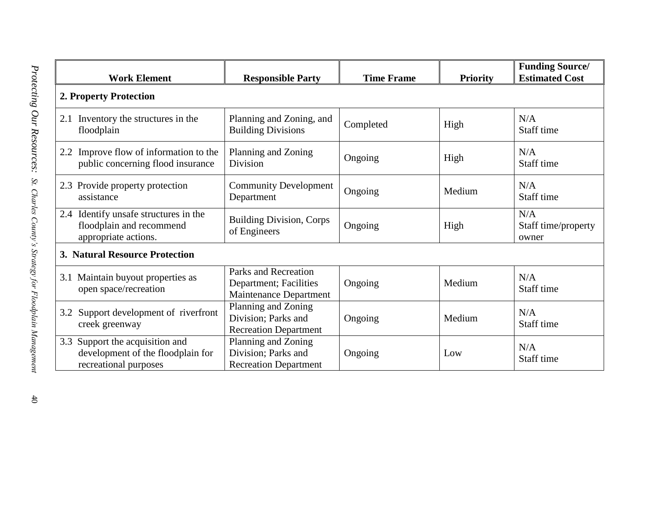| <b>Work Element</b>                                                                           | <b>Responsible Party</b>                                                        | <b>Time Frame</b> | <b>Priority</b> | <b>Funding Source/</b><br><b>Estimated Cost</b> |  |  |  |
|-----------------------------------------------------------------------------------------------|---------------------------------------------------------------------------------|-------------------|-----------------|-------------------------------------------------|--|--|--|
| 2. Property Protection                                                                        |                                                                                 |                   |                 |                                                 |  |  |  |
| 2.1 Inventory the structures in the<br>floodplain                                             | Planning and Zoning, and<br><b>Building Divisions</b>                           | Completed         | High            | N/A<br>Staff time                               |  |  |  |
| 2.2 Improve flow of information to the<br>public concerning flood insurance                   | Planning and Zoning<br>Division                                                 | Ongoing           | High            | N/A<br>Staff time                               |  |  |  |
| 2.3 Provide property protection<br>assistance                                                 | <b>Community Development</b><br>Department                                      | Ongoing           | Medium          | N/A<br>Staff time                               |  |  |  |
| 2.4 Identify unsafe structures in the<br>floodplain and recommend<br>appropriate actions.     | <b>Building Division, Corps</b><br>of Engineers                                 | Ongoing           | High            | N/A<br>Staff time/property<br>owner             |  |  |  |
| 3. Natural Resource Protection                                                                |                                                                                 |                   |                 |                                                 |  |  |  |
| 3.1 Maintain buyout properties as<br>open space/recreation                                    | Parks and Recreation<br>Department; Facilities<br><b>Maintenance Department</b> | Ongoing           | Medium          | N/A<br>Staff time                               |  |  |  |
| 3.2 Support development of riverfront<br>creek greenway                                       | Planning and Zoning<br>Division; Parks and<br><b>Recreation Department</b>      | Ongoing           | Medium          | N/A<br>Staff time                               |  |  |  |
| 3.3 Support the acquisition and<br>development of the floodplain for<br>recreational purposes | Planning and Zoning<br>Division; Parks and<br><b>Recreation Department</b>      | Ongoing           | Low             | N/A<br>Staff time                               |  |  |  |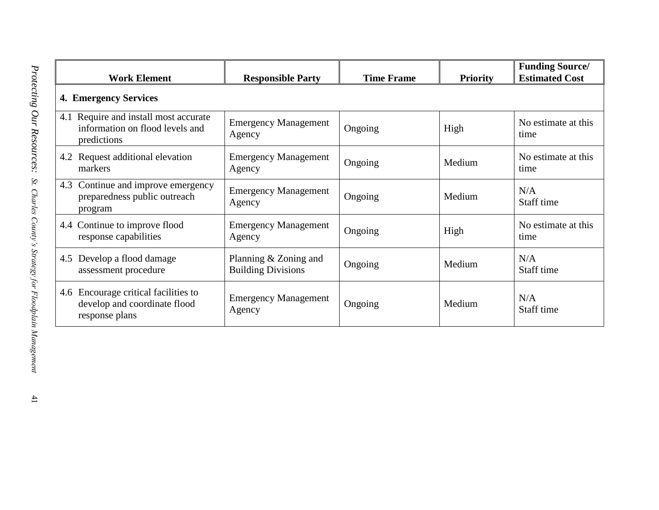|                              | <b>Work Element</b>                                                                     | <b>Responsible Party</b>                             | <b>Time Frame</b> | <b>Priority</b> | <b>Funding Source/</b><br><b>Estimated Cost</b> |  |  |  |
|------------------------------|-----------------------------------------------------------------------------------------|------------------------------------------------------|-------------------|-----------------|-------------------------------------------------|--|--|--|
| <b>4. Emergency Services</b> |                                                                                         |                                                      |                   |                 |                                                 |  |  |  |
|                              | 4.1 Require and install most accurate<br>information on flood levels and<br>predictions | <b>Emergency Management</b><br>Agency                | Ongoing           | High            | No estimate at this<br>time                     |  |  |  |
|                              | 4.2 Request additional elevation<br>markers                                             | <b>Emergency Management</b><br>Agency                | Ongoing           | Medium          | No estimate at this<br>time                     |  |  |  |
| 4.3                          | Continue and improve emergency<br>preparedness public outreach<br>program               | <b>Emergency Management</b><br>Agency                | Ongoing           | Medium          | N/A<br>Staff time                               |  |  |  |
|                              | 4.4 Continue to improve flood<br>response capabilities                                  | <b>Emergency Management</b><br>Agency                | Ongoing           | High            | No estimate at this<br>time                     |  |  |  |
| 4.5                          | Develop a flood damage<br>assessment procedure                                          | Planning $& Zoning$ and<br><b>Building Divisions</b> | Ongoing           | Medium          | N/A<br>Staff time                               |  |  |  |
|                              | 4.6 Encourage critical facilities to<br>develop and coordinate flood<br>response plans  | <b>Emergency Management</b><br>Agency                | Ongoing           | Medium          | N/A<br>Staff time                               |  |  |  |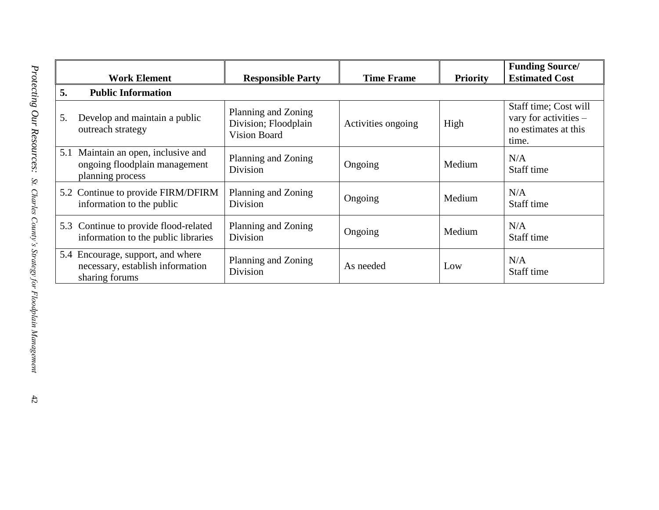|     | <b>Work Element</b>                                                                     | <b>Responsible Party</b>                                           | <b>Time Frame</b>  | <b>Priority</b> | <b>Funding Source/</b><br><b>Estimated Cost</b>                                 |
|-----|-----------------------------------------------------------------------------------------|--------------------------------------------------------------------|--------------------|-----------------|---------------------------------------------------------------------------------|
| 5.  | <b>Public Information</b>                                                               |                                                                    |                    |                 |                                                                                 |
| 5.  | Develop and maintain a public<br>outreach strategy                                      | Planning and Zoning<br>Division; Floodplain<br><b>Vision Board</b> | Activities ongoing | High            | Staff time; Cost will<br>vary for activities -<br>no estimates at this<br>time. |
| 5.1 | Maintain an open, inclusive and<br>ongoing floodplain management<br>planning process    | Planning and Zoning<br>Division                                    | Ongoing            | Medium          | N/A<br>Staff time                                                               |
|     | 5.2 Continue to provide FIRM/DFIRM<br>information to the public                         | Planning and Zoning<br>Division                                    | Ongoing            | Medium          | N/A<br>Staff time                                                               |
|     | 5.3 Continue to provide flood-related<br>information to the public libraries            | Planning and Zoning<br>Division                                    | Ongoing            | Medium          | N/A<br>Staff time                                                               |
|     | 5.4 Encourage, support, and where<br>necessary, establish information<br>sharing forums | Planning and Zoning<br>Division                                    | As needed          | Low             | N/A<br>Staff time                                                               |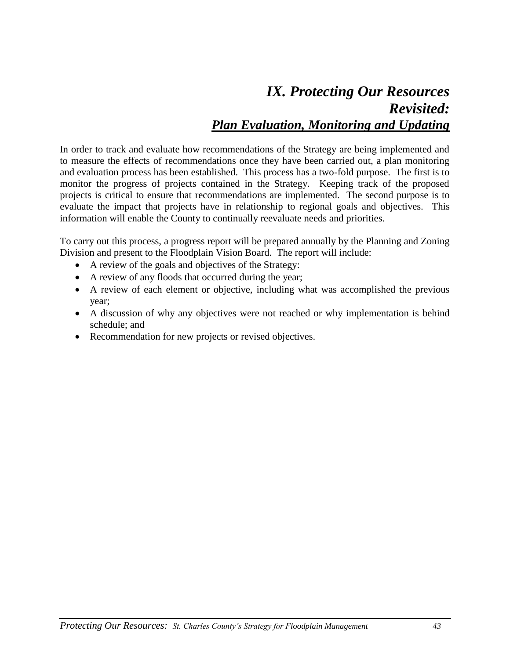## *IX. Protecting Our Resources Revisited: Plan Evaluation, Monitoring and Updating*

In order to track and evaluate how recommendations of the Strategy are being implemented and to measure the effects of recommendations once they have been carried out, a plan monitoring and evaluation process has been established. This process has a two-fold purpose. The first is to monitor the progress of projects contained in the Strategy. Keeping track of the proposed projects is critical to ensure that recommendations are implemented. The second purpose is to evaluate the impact that projects have in relationship to regional goals and objectives. This information will enable the County to continually reevaluate needs and priorities.

To carry out this process, a progress report will be prepared annually by the Planning and Zoning Division and present to the Floodplain Vision Board. The report will include:

- A review of the goals and objectives of the Strategy:
- A review of any floods that occurred during the year;
- A review of each element or objective, including what was accomplished the previous year;
- A discussion of why any objectives were not reached or why implementation is behind schedule; and
- Recommendation for new projects or revised objectives.